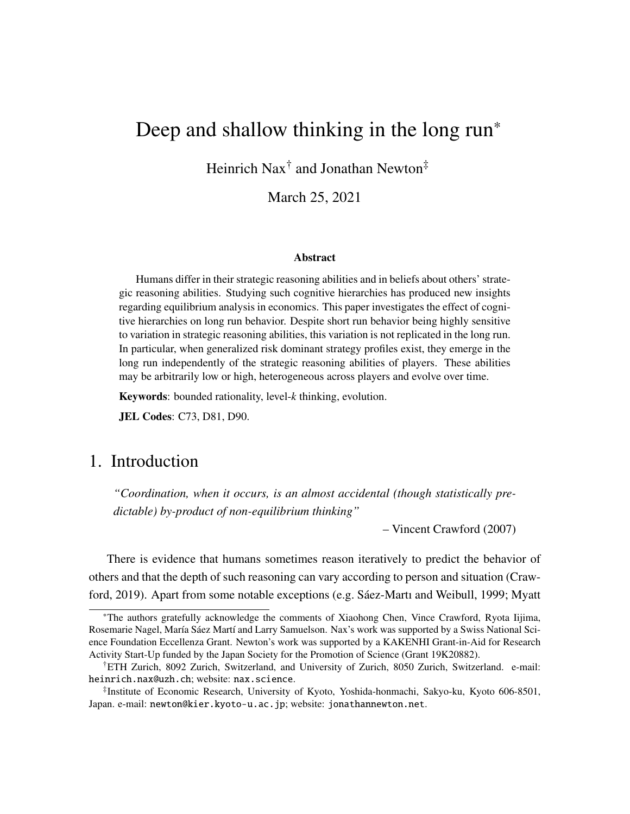# Deep and shallow thinking in the long run\*

Heinrich Nax<sup>†</sup> and Jonathan Newton<sup>‡</sup>

March 25, 2021

#### Abstract

Humans differ in their strategic reasoning abilities and in beliefs about others' strategic reasoning abilities. Studying such cognitive hierarchies has produced new insights regarding equilibrium analysis in economics. This paper investigates the effect of cognitive hierarchies on long run behavior. Despite short run behavior being highly sensitive to variation in strategic reasoning abilities, this variation is not replicated in the long run. In particular, when generalized risk dominant strategy profiles exist, they emerge in the long run independently of the strategic reasoning abilities of players. These abilities may be arbitrarily low or high, heterogeneous across players and evolve over time.

Keywords: bounded rationality, level-*k* thinking, evolution.

JEL Codes: C73, D81, D90.

# 1. Introduction

*"Coordination, when it occurs, is an almost accidental (though statistically predictable) by-product of non-equilibrium thinking"*

– Vincent Crawford (2007)

There is evidence that humans sometimes reason iteratively to predict the behavior of others and that the depth of such reasoning can vary according to person and situation (Crawford, 2019). Apart from some notable exceptions (e.g. Sáez-Martı and Weibull, 1999; Myatt

<sup>\*</sup>The authors gratefully acknowledge the comments of Xiaohong Chen, Vince Crawford, Ryota Iijima, Rosemarie Nagel, María Sáez Martí and Larry Samuelson. Nax's work was supported by a Swiss National Science Foundation Eccellenza Grant. Newton's work was supported by a KAKENHI Grant-in-Aid for Research Activity Start-Up funded by the Japan Society for the Promotion of Science (Grant 19K20882).

<sup>†</sup>ETH Zurich, 8092 Zurich, Switzerland, and University of Zurich, 8050 Zurich, Switzerland. e-mail: heinrich.nax@uzh.ch; website: nax.science.

<sup>‡</sup> Institute of Economic Research, University of Kyoto, Yoshida-honmachi, Sakyo-ku, Kyoto 606-8501, Japan. e-mail: newton@kier.kyoto-u.ac.jp; website: jonathannewton.net.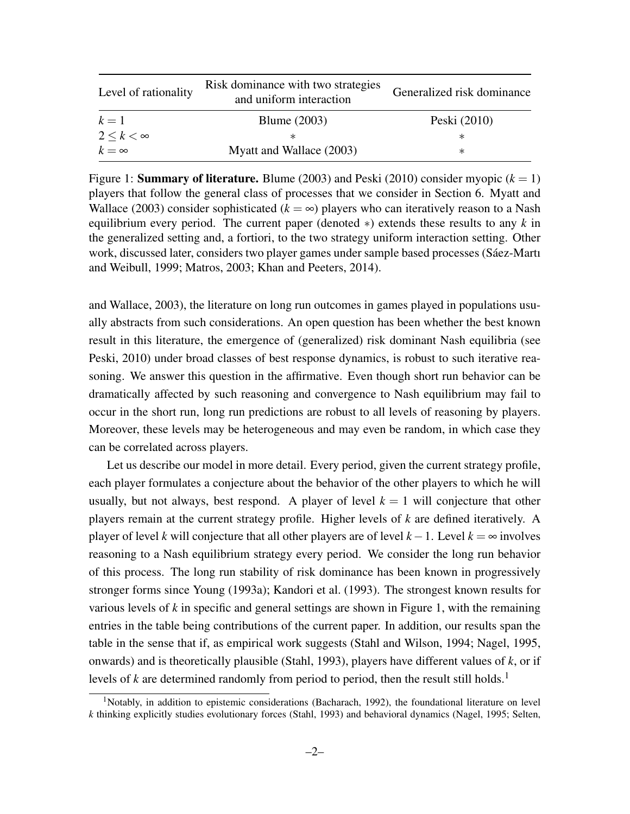| Level of rationality   | Risk dominance with two strategies<br>and uniform interaction | Generalized risk dominance |
|------------------------|---------------------------------------------------------------|----------------------------|
| $k=1$                  | <b>Blume</b> (2003)                                           | Peski (2010)               |
| $2 \leq k \leq \infty$ | ж                                                             | ж                          |
| $k = \infty$           | Myatt and Wallace (2003)                                      | ∗                          |

Figure 1: **Summary of literature.** Blume (2003) and Peski (2010) consider myopic  $(k = 1)$ players that follow the general class of processes that we consider in Section 6. Myatt and Wallace (2003) consider sophisticated  $(k = \infty)$  players who can iteratively reason to a Nash equilibrium every period. The current paper (denoted ∗) extends these results to any *k* in the generalized setting and, a fortiori, to the two strategy uniform interaction setting. Other work, discussed later, considers two player games under sample based processes (Sáez-Martı and Weibull, 1999; Matros, 2003; Khan and Peeters, 2014).

and Wallace, 2003), the literature on long run outcomes in games played in populations usually abstracts from such considerations. An open question has been whether the best known result in this literature, the emergence of (generalized) risk dominant Nash equilibria (see Peski, 2010) under broad classes of best response dynamics, is robust to such iterative reasoning. We answer this question in the affirmative. Even though short run behavior can be dramatically affected by such reasoning and convergence to Nash equilibrium may fail to occur in the short run, long run predictions are robust to all levels of reasoning by players. Moreover, these levels may be heterogeneous and may even be random, in which case they can be correlated across players.

Let us describe our model in more detail. Every period, given the current strategy profile, each player formulates a conjecture about the behavior of the other players to which he will usually, but not always, best respond. A player of level  $k = 1$  will conjecture that other players remain at the current strategy profile. Higher levels of *k* are defined iteratively. A player of level *k* will conjecture that all other players are of level *k*−1. Level *k* = ∞ involves reasoning to a Nash equilibrium strategy every period. We consider the long run behavior of this process. The long run stability of risk dominance has been known in progressively stronger forms since Young (1993a); Kandori et al. (1993). The strongest known results for various levels of *k* in specific and general settings are shown in Figure 1, with the remaining entries in the table being contributions of the current paper. In addition, our results span the table in the sense that if, as empirical work suggests (Stahl and Wilson, 1994; Nagel, 1995, onwards) and is theoretically plausible (Stahl, 1993), players have different values of *k*, or if levels of *k* are determined randomly from period to period, then the result still holds.<sup>1</sup>

<sup>&</sup>lt;sup>1</sup>Notably, in addition to epistemic considerations (Bacharach, 1992), the foundational literature on level *k* thinking explicitly studies evolutionary forces (Stahl, 1993) and behavioral dynamics (Nagel, 1995; Selten,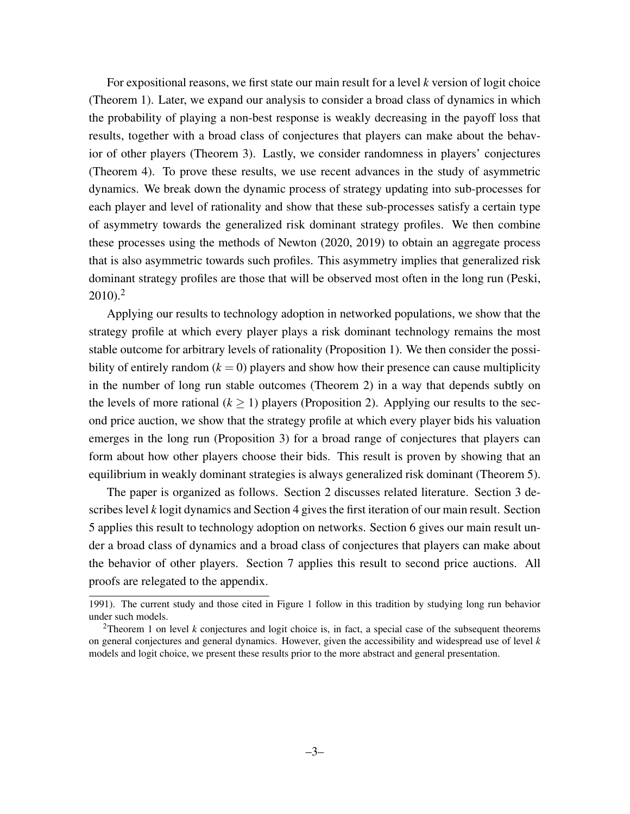For expositional reasons, we first state our main result for a level *k* version of logit choice (Theorem 1). Later, we expand our analysis to consider a broad class of dynamics in which the probability of playing a non-best response is weakly decreasing in the payoff loss that results, together with a broad class of conjectures that players can make about the behavior of other players (Theorem 3). Lastly, we consider randomness in players' conjectures (Theorem 4). To prove these results, we use recent advances in the study of asymmetric dynamics. We break down the dynamic process of strategy updating into sub-processes for each player and level of rationality and show that these sub-processes satisfy a certain type of asymmetry towards the generalized risk dominant strategy profiles. We then combine these processes using the methods of Newton (2020, 2019) to obtain an aggregate process that is also asymmetric towards such profiles. This asymmetry implies that generalized risk dominant strategy profiles are those that will be observed most often in the long run (Peski,  $2010$ )<sup>2</sup>

Applying our results to technology adoption in networked populations, we show that the strategy profile at which every player plays a risk dominant technology remains the most stable outcome for arbitrary levels of rationality (Proposition 1). We then consider the possibility of entirely random  $(k = 0)$  players and show how their presence can cause multiplicity in the number of long run stable outcomes (Theorem 2) in a way that depends subtly on the levels of more rational ( $k \ge 1$ ) players (Proposition 2). Applying our results to the second price auction, we show that the strategy profile at which every player bids his valuation emerges in the long run (Proposition 3) for a broad range of conjectures that players can form about how other players choose their bids. This result is proven by showing that an equilibrium in weakly dominant strategies is always generalized risk dominant (Theorem 5).

The paper is organized as follows. Section 2 discusses related literature. Section 3 describes level *k* logit dynamics and Section 4 gives the first iteration of our main result. Section 5 applies this result to technology adoption on networks. Section 6 gives our main result under a broad class of dynamics and a broad class of conjectures that players can make about the behavior of other players. Section 7 applies this result to second price auctions. All proofs are relegated to the appendix.

<sup>1991).</sup> The current study and those cited in Figure 1 follow in this tradition by studying long run behavior under such models.

<sup>&</sup>lt;sup>2</sup>Theorem 1 on level *k* conjectures and logit choice is, in fact, a special case of the subsequent theorems on general conjectures and general dynamics. However, given the accessibility and widespread use of level *k* models and logit choice, we present these results prior to the more abstract and general presentation.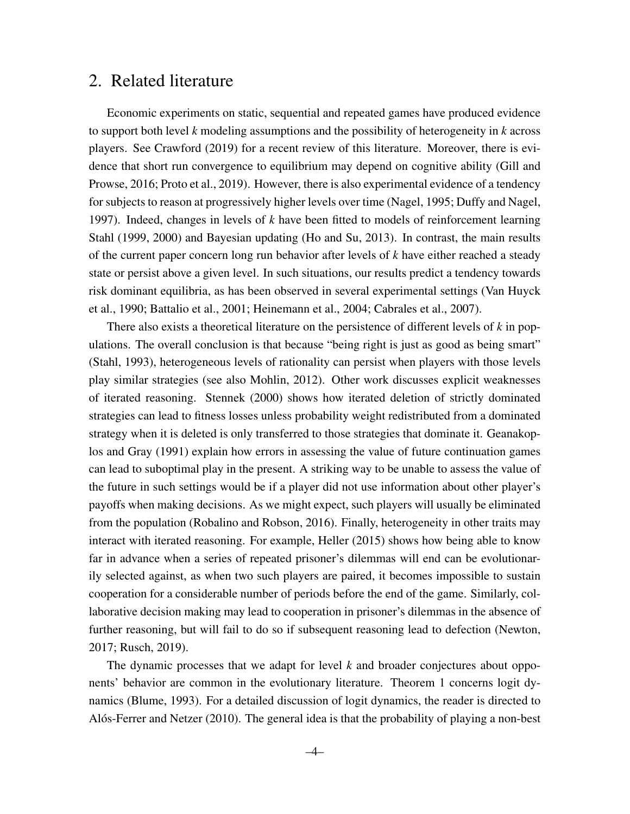# 2. Related literature

Economic experiments on static, sequential and repeated games have produced evidence to support both level *k* modeling assumptions and the possibility of heterogeneity in *k* across players. See Crawford (2019) for a recent review of this literature. Moreover, there is evidence that short run convergence to equilibrium may depend on cognitive ability (Gill and Prowse, 2016; Proto et al., 2019). However, there is also experimental evidence of a tendency for subjects to reason at progressively higher levels over time (Nagel, 1995; Duffy and Nagel, 1997). Indeed, changes in levels of *k* have been fitted to models of reinforcement learning Stahl (1999, 2000) and Bayesian updating (Ho and Su, 2013). In contrast, the main results of the current paper concern long run behavior after levels of *k* have either reached a steady state or persist above a given level. In such situations, our results predict a tendency towards risk dominant equilibria, as has been observed in several experimental settings (Van Huyck et al., 1990; Battalio et al., 2001; Heinemann et al., 2004; Cabrales et al., 2007).

There also exists a theoretical literature on the persistence of different levels of *k* in populations. The overall conclusion is that because "being right is just as good as being smart" (Stahl, 1993), heterogeneous levels of rationality can persist when players with those levels play similar strategies (see also Mohlin, 2012). Other work discusses explicit weaknesses of iterated reasoning. Stennek (2000) shows how iterated deletion of strictly dominated strategies can lead to fitness losses unless probability weight redistributed from a dominated strategy when it is deleted is only transferred to those strategies that dominate it. Geanakoplos and Gray (1991) explain how errors in assessing the value of future continuation games can lead to suboptimal play in the present. A striking way to be unable to assess the value of the future in such settings would be if a player did not use information about other player's payoffs when making decisions. As we might expect, such players will usually be eliminated from the population (Robalino and Robson, 2016). Finally, heterogeneity in other traits may interact with iterated reasoning. For example, Heller (2015) shows how being able to know far in advance when a series of repeated prisoner's dilemmas will end can be evolutionarily selected against, as when two such players are paired, it becomes impossible to sustain cooperation for a considerable number of periods before the end of the game. Similarly, collaborative decision making may lead to cooperation in prisoner's dilemmas in the absence of further reasoning, but will fail to do so if subsequent reasoning lead to defection (Newton, 2017; Rusch, 2019).

The dynamic processes that we adapt for level *k* and broader conjectures about opponents' behavior are common in the evolutionary literature. Theorem 1 concerns logit dynamics (Blume, 1993). For a detailed discussion of logit dynamics, the reader is directed to Alós-Ferrer and Netzer (2010). The general idea is that the probability of playing a non-best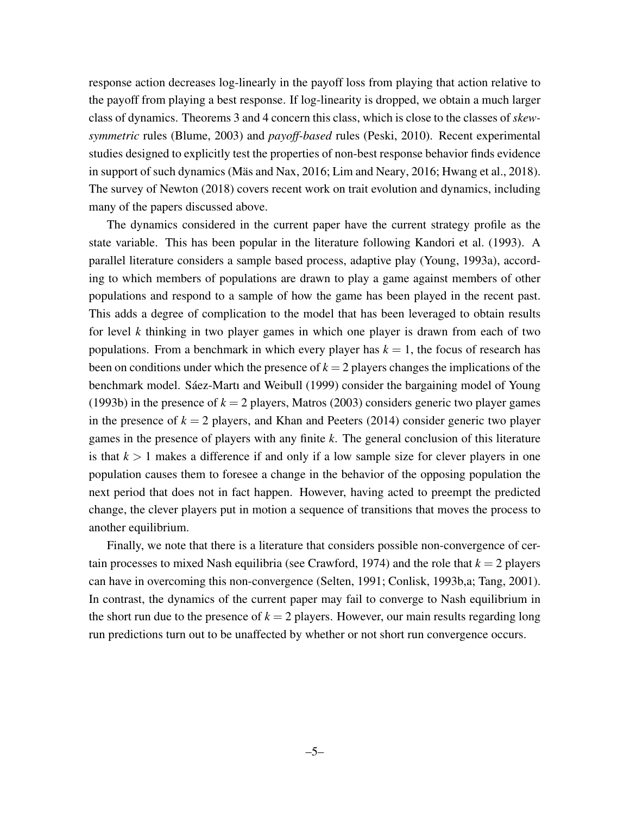response action decreases log-linearly in the payoff loss from playing that action relative to the payoff from playing a best response. If log-linearity is dropped, we obtain a much larger class of dynamics. Theorems 3 and 4 concern this class, which is close to the classes of *skewsymmetric* rules (Blume, 2003) and *payoff-based* rules (Peski, 2010). Recent experimental studies designed to explicitly test the properties of non-best response behavior finds evidence in support of such dynamics (Mäs and Nax, 2016; Lim and Neary, 2016; Hwang et al., 2018). The survey of Newton (2018) covers recent work on trait evolution and dynamics, including many of the papers discussed above.

The dynamics considered in the current paper have the current strategy profile as the state variable. This has been popular in the literature following Kandori et al. (1993). A parallel literature considers a sample based process, adaptive play (Young, 1993a), according to which members of populations are drawn to play a game against members of other populations and respond to a sample of how the game has been played in the recent past. This adds a degree of complication to the model that has been leveraged to obtain results for level *k* thinking in two player games in which one player is drawn from each of two populations. From a benchmark in which every player has  $k = 1$ , the focus of research has been on conditions under which the presence of  $k = 2$  players changes the implications of the benchmark model. Sáez-Martı and Weibull (1999) consider the bargaining model of Young (1993b) in the presence of  $k = 2$  players, Matros (2003) considers generic two player games in the presence of  $k = 2$  players, and Khan and Peeters (2014) consider generic two player games in the presence of players with any finite *k*. The general conclusion of this literature is that  $k > 1$  makes a difference if and only if a low sample size for clever players in one population causes them to foresee a change in the behavior of the opposing population the next period that does not in fact happen. However, having acted to preempt the predicted change, the clever players put in motion a sequence of transitions that moves the process to another equilibrium.

Finally, we note that there is a literature that considers possible non-convergence of certain processes to mixed Nash equilibria (see Crawford, 1974) and the role that  $k = 2$  players can have in overcoming this non-convergence (Selten, 1991; Conlisk, 1993b,a; Tang, 2001). In contrast, the dynamics of the current paper may fail to converge to Nash equilibrium in the short run due to the presence of  $k = 2$  players. However, our main results regarding long run predictions turn out to be unaffected by whether or not short run convergence occurs.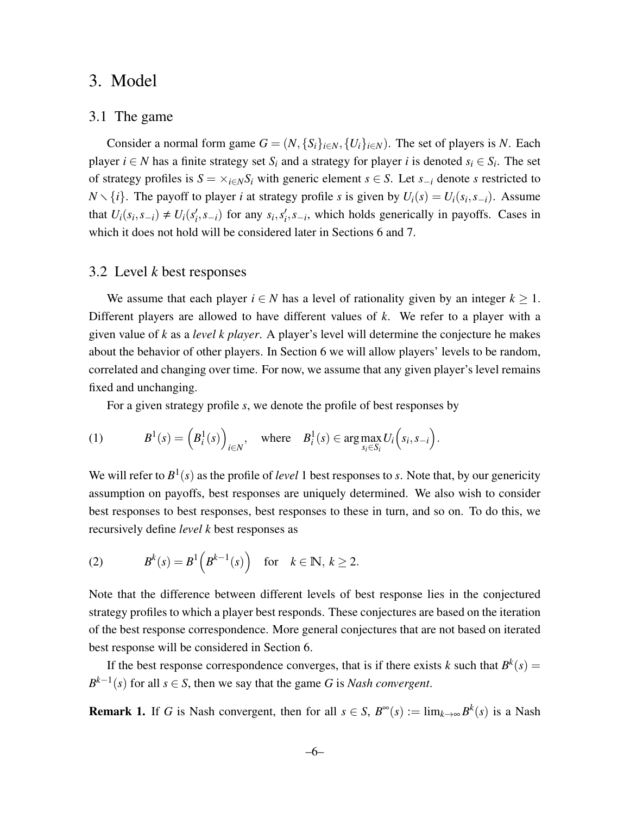# 3. Model

### 3.1 The game

Consider a normal form game  $G = (N, \{S_i\}_{i \in N}, \{U_i\}_{i \in N})$ . The set of players is *N*. Each player  $i \in N$  has a finite strategy set  $S_i$  and a strategy for player  $i$  is denoted  $s_i \in S_i$ . The set of strategy profiles is  $S = \times_{i \in N} S_i$  with generic element  $s \in S$ . Let  $s_{-i}$  denote *s* restricted to *N*  $\setminus$  {*i*}. The payoff to player *i* at strategy profile *s* is given by  $U_i(s) = U_i(s_i, s_{-i})$ . Assume that  $U_i(s_i, s_{-i}) \neq U_i(s'_i, s_{-i})$  for any  $s_i, s'_i, s_{-i}$ , which holds generically in payoffs. Cases in which it does not hold will be considered later in Sections 6 and 7.

# 3.2 Level *k* best responses

We assume that each player  $i \in N$  has a level of rationality given by an integer  $k \geq 1$ . Different players are allowed to have different values of *k*. We refer to a player with a given value of *k* as a *level k player*. A player's level will determine the conjecture he makes about the behavior of other players. In Section 6 we will allow players' levels to be random, correlated and changing over time. For now, we assume that any given player's level remains fixed and unchanging.

For a given strategy profile *s*, we denote the profile of best responses by

(1) 
$$
B^{1}(s) = (B_{i}^{1}(s))_{i \in N}, \text{ where } B_{i}^{1}(s) \in \arg \max_{s_{i} \in S_{i}} U_{i}(s_{i}, s_{-i}).
$$

We will refer to  $B^1(s)$  as the profile of *level* 1 best responses to *s*. Note that, by our genericity assumption on payoffs, best responses are uniquely determined. We also wish to consider best responses to best responses, best responses to these in turn, and so on. To do this, we recursively define *level k* best responses as

(2) 
$$
B^{k}(s) = B^{1}\left(B^{k-1}(s)\right) \text{ for } k \in \mathbb{N}, k \geq 2.
$$

Note that the difference between different levels of best response lies in the conjectured strategy profiles to which a player best responds. These conjectures are based on the iteration of the best response correspondence. More general conjectures that are not based on iterated best response will be considered in Section 6.

If the best response correspondence converges, that is if there exists *k* such that  $B^k(s) =$  $B^{k-1}(s)$  for all  $s \in S$ , then we say that the game *G* is *Nash convergent*.

**Remark 1.** If *G* is Nash convergent, then for all  $s \in S$ ,  $B^{\infty}(s) := \lim_{k \to \infty} B^k(s)$  is a Nash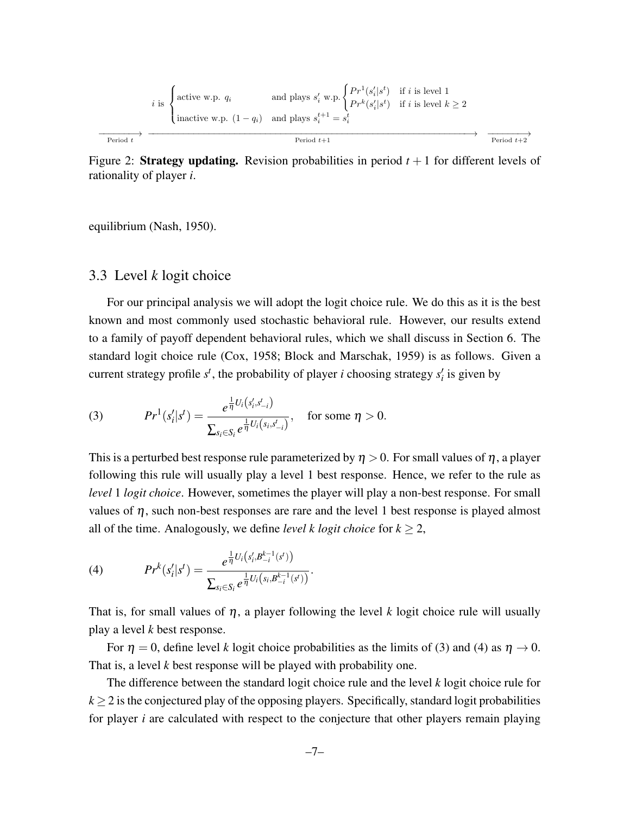$$
i \text{ is } \begin{cases} \text{active w.p. } q_i & \text{and plays } s'_i \text{ w.p.} \\ \text{inactive w.p. } (1 - q_i) & \text{and plays } s_i^{t+1} = s_i^t \end{cases} \xrightarrow{\begin{cases} Pr^1(s'_i|s^t) & \text{if } i \text{ is level } 1 \\ Pr^k(s'_i|s^t) & \text{if } i \text{ is level } k \ge 2 \end{cases}}
$$
\n
$$
\xrightarrow{\begin{array}{c} \text{Period } t \end{array}} \text{Period } t + 1 \end{cases}
$$

Figure 2: **Strategy updating.** Revision probabilities in period  $t + 1$  for different levels of rationality of player *i*.

equilibrium (Nash, 1950).

### 3.3 Level *k* logit choice

For our principal analysis we will adopt the logit choice rule. We do this as it is the best known and most commonly used stochastic behavioral rule. However, our results extend to a family of payoff dependent behavioral rules, which we shall discuss in Section 6. The standard logit choice rule (Cox, 1958; Block and Marschak, 1959) is as follows. Given a current strategy profile  $s^t$ , the probability of player *i* choosing strategy  $s_i^t$  is given by

(3) 
$$
Pr^{1}(s'_{i}|s^{t}) = \frac{e^{\frac{1}{\eta}U_{i}(s'_{i}, s^{t}_{-i})}}{\sum_{s_{i} \in S_{i}} e^{\frac{1}{\eta}U_{i}(s_{i}, s^{t}_{-i})}}, \text{ for some } \eta > 0.
$$

This is a perturbed best response rule parameterized by  $\eta > 0$ . For small values of  $\eta$ , a player following this rule will usually play a level 1 best response. Hence, we refer to the rule as *level* 1 *logit choice*. However, sometimes the player will play a non-best response. For small values of  $\eta$ , such non-best responses are rare and the level 1 best response is played almost all of the time. Analogously, we define *level k logit choice* for  $k \geq 2$ ,

(4) 
$$
Pr^{k}(s'_{i}|s^{t}) = \frac{e^{\frac{1}{\eta}U_{i}(s'_{i},B^{k-1}_{-i}(s^{t}))}}{\sum_{s_{i}\in S_{i}}e^{\frac{1}{\eta}U_{i}(s_{i},B^{k-1}_{-i}(s^{t}))}}.
$$

That is, for small values of  $\eta$ , a player following the level *k* logit choice rule will usually play a level *k* best response.

For  $\eta = 0$ , define level *k* logit choice probabilities as the limits of (3) and (4) as  $\eta \to 0$ . That is, a level *k* best response will be played with probability one.

The difference between the standard logit choice rule and the level *k* logit choice rule for  $k \geq 2$  is the conjectured play of the opposing players. Specifically, standard logit probabilities for player *i* are calculated with respect to the conjecture that other players remain playing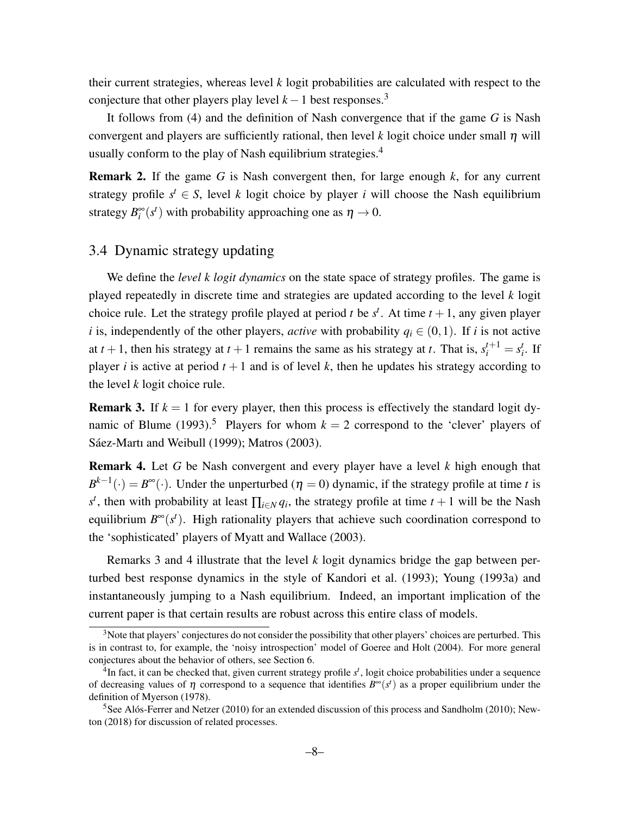their current strategies, whereas level *k* logit probabilities are calculated with respect to the conjecture that other players play level  $k - 1$  best responses.<sup>3</sup>

It follows from (4) and the definition of Nash convergence that if the game *G* is Nash convergent and players are sufficiently rational, then level  $k$  logit choice under small  $\eta$  will usually conform to the play of Nash equilibrium strategies.<sup>4</sup>

Remark 2. If the game *G* is Nash convergent then, for large enough *k*, for any current strategy profile  $s^t \in S$ , level *k* logit choice by player *i* will choose the Nash equilibrium strategy  $B_i^{\infty}(s^t)$  with probability approaching one as  $\eta \to 0$ .

# 3.4 Dynamic strategy updating

We define the *level k logit dynamics* on the state space of strategy profiles. The game is played repeatedly in discrete time and strategies are updated according to the level *k* logit choice rule. Let the strategy profile played at period *t* be  $s^t$ . At time  $t + 1$ , any given player *i* is, independently of the other players, *active* with probability  $q_i \in (0,1)$ . If *i* is not active at  $t + 1$ , then his strategy at  $t + 1$  remains the same as his strategy at  $t$ . That is,  $s_i^{t+1} = s_i^t$ . If player *i* is active at period  $t + 1$  and is of level *k*, then he updates his strategy according to the level *k* logit choice rule.

**Remark 3.** If  $k = 1$  for every player, then this process is effectively the standard logit dynamic of Blume (1993).<sup>5</sup> Players for whom  $k = 2$  correspond to the 'clever' players of Sáez-Martı and Weibull (1999); Matros (2003).

Remark 4. Let *G* be Nash convergent and every player have a level *k* high enough that  $B^{k-1}(\cdot) = B^{\infty}(\cdot)$ . Under the unperturbed ( $\eta = 0$ ) dynamic, if the strategy profile at time *t* is  $s<sup>t</sup>$ , then with probability at least  $\prod_{i \in N} q_i$ , the strategy profile at time  $t + 1$  will be the Nash equilibrium  $B^{\infty}(s^t)$ . High rationality players that achieve such coordination correspond to the 'sophisticated' players of Myatt and Wallace (2003).

Remarks 3 and 4 illustrate that the level *k* logit dynamics bridge the gap between perturbed best response dynamics in the style of Kandori et al. (1993); Young (1993a) and instantaneously jumping to a Nash equilibrium. Indeed, an important implication of the current paper is that certain results are robust across this entire class of models.

<sup>&</sup>lt;sup>3</sup>Note that players' conjectures do not consider the possibility that other players' choices are perturbed. This is in contrast to, for example, the 'noisy introspection' model of Goeree and Holt (2004). For more general conjectures about the behavior of others, see Section 6.

<sup>&</sup>lt;sup>4</sup>In fact, it can be checked that, given current strategy profile  $s<sup>t</sup>$ , logit choice probabilities under a sequence of decreasing values of  $\eta$  correspond to a sequence that identifies  $B^{\infty}(s^t)$  as a proper equilibrium under the definition of Myerson (1978).

<sup>&</sup>lt;sup>5</sup>See Alós-Ferrer and Netzer (2010) for an extended discussion of this process and Sandholm (2010); Newton (2018) for discussion of related processes.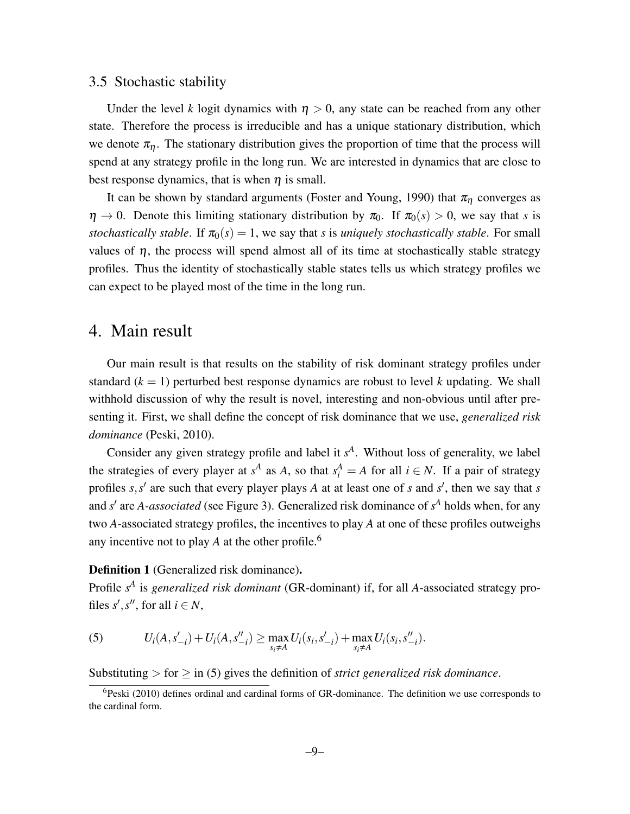### 3.5 Stochastic stability

Under the level *k* logit dynamics with  $\eta > 0$ , any state can be reached from any other state. Therefore the process is irreducible and has a unique stationary distribution, which we denote  $\pi_n$ . The stationary distribution gives the proportion of time that the process will spend at any strategy profile in the long run. We are interested in dynamics that are close to best response dynamics, that is when  $\eta$  is small.

It can be shown by standard arguments (Foster and Young, 1990) that  $\pi_{\eta}$  converges as  $\eta \to 0$ . Denote this limiting stationary distribution by  $\pi_0$ . If  $\pi_0(s) > 0$ , we say that *s* is *stochastically stable.* If  $\pi_0(s) = 1$ , we say that *s* is *uniquely stochastically stable*. For small values of  $\eta$ , the process will spend almost all of its time at stochastically stable strategy profiles. Thus the identity of stochastically stable states tells us which strategy profiles we can expect to be played most of the time in the long run.

# 4. Main result

Our main result is that results on the stability of risk dominant strategy profiles under standard  $(k = 1)$  perturbed best response dynamics are robust to level k updating. We shall withhold discussion of why the result is novel, interesting and non-obvious until after presenting it. First, we shall define the concept of risk dominance that we use, *generalized risk dominance* (Peski, 2010).

Consider any given strategy profile and label it  $s<sup>A</sup>$ . Without loss of generality, we label the strategies of every player at  $s^A$  as *A*, so that  $s_i^A = A$  for all  $i \in N$ . If a pair of strategy profiles  $s, s'$  are such that every player plays A at at least one of  $s$  and  $s'$ , then we say that  $s$ and *s'* are *A-associated* (see Figure 3). Generalized risk dominance of *s*<sup>*A*</sup> holds when, for any two *A*-associated strategy profiles, the incentives to play *A* at one of these profiles outweighs any incentive not to play  $A$  at the other profile.<sup>6</sup>

#### Definition 1 (Generalized risk dominance).

Profile  $s<sup>A</sup>$  is *generalized risk dominant* (GR-dominant) if, for all *A*-associated strategy profiles  $s', s''$ , for all  $i \in N$ ,

(5) 
$$
U_i(A, s'_{-i}) + U_i(A, s''_{-i}) \ge \max_{s_i \neq A} U_i(s_i, s'_{-i}) + \max_{s_i \neq A} U_i(s_i, s''_{-i}).
$$

Substituting  $>$  for  $\geq$  in (5) gives the definition of *strict generalized risk dominance*.

 $6$ Peski (2010) defines ordinal and cardinal forms of GR-dominance. The definition we use corresponds to the cardinal form.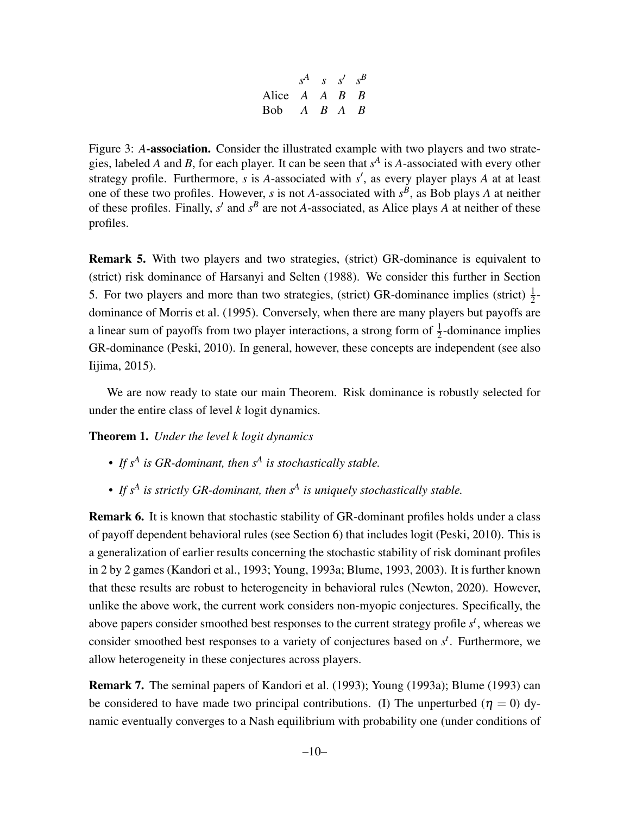$$
\begin{array}{ccc}\n & s^A & s & s' & s^B \\
\text{Alice} & A & A & B & B \\
\text{Bob} & A & B & A & B\n\end{array}
$$

Figure 3: *A*-association. Consider the illustrated example with two players and two strategies, labeled *A* and *B*, for each player. It can be seen that *s A* is *A*-associated with every other strategy profile. Furthermore, *s* is *A*-associated with *s'*, as every player plays *A* at at least one of these two profiles. However, *s* is not *A*-associated with  $s^B$ , as Bob plays *A* at neither of these profiles. Finally,  $s'$  and  $s^B$  are not *A*-associated, as Alice plays *A* at neither of these profiles.

Remark 5. With two players and two strategies, (strict) GR-dominance is equivalent to (strict) risk dominance of Harsanyi and Selten (1988). We consider this further in Section 5. For two players and more than two strategies, (strict) GR-dominance implies (strict)  $\frac{1}{2}$ dominance of Morris et al. (1995). Conversely, when there are many players but payoffs are a linear sum of payoffs from two player interactions, a strong form of  $\frac{1}{2}$ -dominance implies GR-dominance (Peski, 2010). In general, however, these concepts are independent (see also Iijima, 2015).

We are now ready to state our main Theorem. Risk dominance is robustly selected for under the entire class of level *k* logit dynamics.

Theorem 1. *Under the level k logit dynamics*

- *• If s<sup>A</sup> is GR-dominant, then s<sup>A</sup> is stochastically stable.*
- *• If s<sup>A</sup> is strictly GR-dominant, then s<sup>A</sup> is uniquely stochastically stable.*

Remark 6. It is known that stochastic stability of GR-dominant profiles holds under a class of payoff dependent behavioral rules (see Section 6) that includes logit (Peski, 2010). This is a generalization of earlier results concerning the stochastic stability of risk dominant profiles in 2 by 2 games (Kandori et al., 1993; Young, 1993a; Blume, 1993, 2003). It is further known that these results are robust to heterogeneity in behavioral rules (Newton, 2020). However, unlike the above work, the current work considers non-myopic conjectures. Specifically, the above papers consider smoothed best responses to the current strategy profile *s t* , whereas we consider smoothed best responses to a variety of conjectures based on *s t* . Furthermore, we allow heterogeneity in these conjectures across players.

Remark 7. The seminal papers of Kandori et al. (1993); Young (1993a); Blume (1993) can be considered to have made two principal contributions. (I) The unperturbed ( $\eta = 0$ ) dynamic eventually converges to a Nash equilibrium with probability one (under conditions of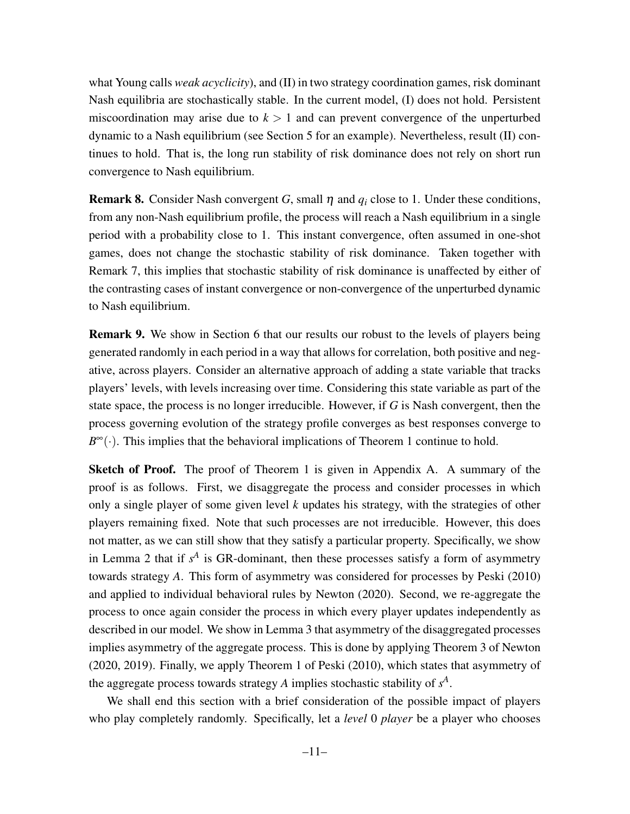what Young calls *weak acyclicity*), and (II) in two strategy coordination games, risk dominant Nash equilibria are stochastically stable. In the current model, (I) does not hold. Persistent miscoordination may arise due to  $k > 1$  and can prevent convergence of the unperturbed dynamic to a Nash equilibrium (see Section 5 for an example). Nevertheless, result (II) continues to hold. That is, the long run stability of risk dominance does not rely on short run convergence to Nash equilibrium.

Remark 8. Consider Nash convergent *G*, small η and *q<sup>i</sup>* close to 1. Under these conditions, from any non-Nash equilibrium profile, the process will reach a Nash equilibrium in a single period with a probability close to 1. This instant convergence, often assumed in one-shot games, does not change the stochastic stability of risk dominance. Taken together with Remark 7, this implies that stochastic stability of risk dominance is unaffected by either of the contrasting cases of instant convergence or non-convergence of the unperturbed dynamic to Nash equilibrium.

Remark 9. We show in Section 6 that our results our robust to the levels of players being generated randomly in each period in a way that allows for correlation, both positive and negative, across players. Consider an alternative approach of adding a state variable that tracks players' levels, with levels increasing over time. Considering this state variable as part of the state space, the process is no longer irreducible. However, if *G* is Nash convergent, then the process governing evolution of the strategy profile converges as best responses converge to  $B^{\infty}(\cdot)$ . This implies that the behavioral implications of Theorem 1 continue to hold.

Sketch of Proof. The proof of Theorem 1 is given in Appendix A. A summary of the proof is as follows. First, we disaggregate the process and consider processes in which only a single player of some given level *k* updates his strategy, with the strategies of other players remaining fixed. Note that such processes are not irreducible. However, this does not matter, as we can still show that they satisfy a particular property. Specifically, we show in Lemma 2 that if  $s<sup>A</sup>$  is GR-dominant, then these processes satisfy a form of asymmetry towards strategy *A*. This form of asymmetry was considered for processes by Peski (2010) and applied to individual behavioral rules by Newton (2020). Second, we re-aggregate the process to once again consider the process in which every player updates independently as described in our model. We show in Lemma 3 that asymmetry of the disaggregated processes implies asymmetry of the aggregate process. This is done by applying Theorem 3 of Newton (2020, 2019). Finally, we apply Theorem 1 of Peski (2010), which states that asymmetry of the aggregate process towards strategy *A* implies stochastic stability of *s A* .

We shall end this section with a brief consideration of the possible impact of players who play completely randomly. Specifically, let a *level* 0 *player* be a player who chooses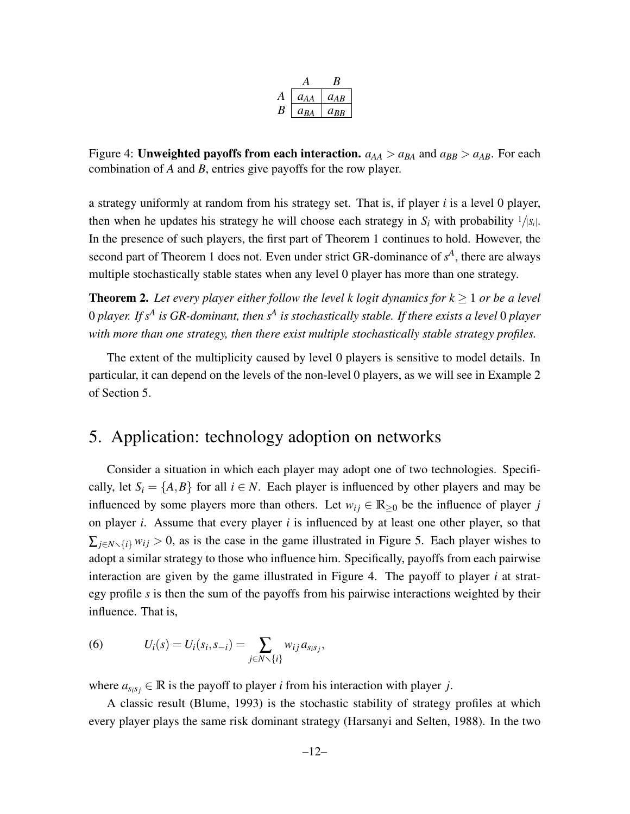| $a_{AA}$ | $a_{AB}$ |
|----------|----------|
| A RA     | arr      |

Figure 4: Unweighted payoffs from each interaction.  $a_{AA} > a_{BA}$  and  $a_{BB} > a_{AB}$ . For each combination of *A* and *B*, entries give payoffs for the row player.

a strategy uniformly at random from his strategy set. That is, if player *i* is a level 0 player, then when he updates his strategy he will choose each strategy in  $S_i$  with probability  $1/|S_i|$ . In the presence of such players, the first part of Theorem 1 continues to hold. However, the second part of Theorem 1 does not. Even under strict GR-dominance of  $s<sup>A</sup>$ , there are always multiple stochastically stable states when any level 0 player has more than one strategy.

**Theorem 2.** Let every player either follow the level k logit dynamics for  $k \geq 1$  or be a level 0 *player. If s<sup>A</sup> is GR-dominant, then s<sup>A</sup> is stochastically stable. If there exists a level* 0 *player with more than one strategy, then there exist multiple stochastically stable strategy profiles.*

The extent of the multiplicity caused by level 0 players is sensitive to model details. In particular, it can depend on the levels of the non-level 0 players, as we will see in Example 2 of Section 5.

# 5. Application: technology adoption on networks

Consider a situation in which each player may adopt one of two technologies. Specifically, let  $S_i = \{A, B\}$  for all  $i \in N$ . Each player is influenced by other players and may be influenced by some players more than others. Let  $w_{ij} \in \mathbb{R}_{\geq 0}$  be the influence of player *j* on player *i*. Assume that every player *i* is influenced by at least one other player, so that  $\sum_{j \in N \setminus \{i\}} w_{ij} > 0$ , as is the case in the game illustrated in Figure 5. Each player wishes to adopt a similar strategy to those who influence him. Specifically, payoffs from each pairwise interaction are given by the game illustrated in Figure 4. The payoff to player *i* at strategy profile *s* is then the sum of the payoffs from his pairwise interactions weighted by their influence. That is,

(6) 
$$
U_i(s) = U_i(s_i, s_{-i}) = \sum_{j \in N \setminus \{i\}} w_{ij} a_{s_i s_j},
$$

where  $a_{s_i s_j} \in \mathbb{R}$  is the payoff to player *i* from his interaction with player *j*.

A classic result (Blume, 1993) is the stochastic stability of strategy profiles at which every player plays the same risk dominant strategy (Harsanyi and Selten, 1988). In the two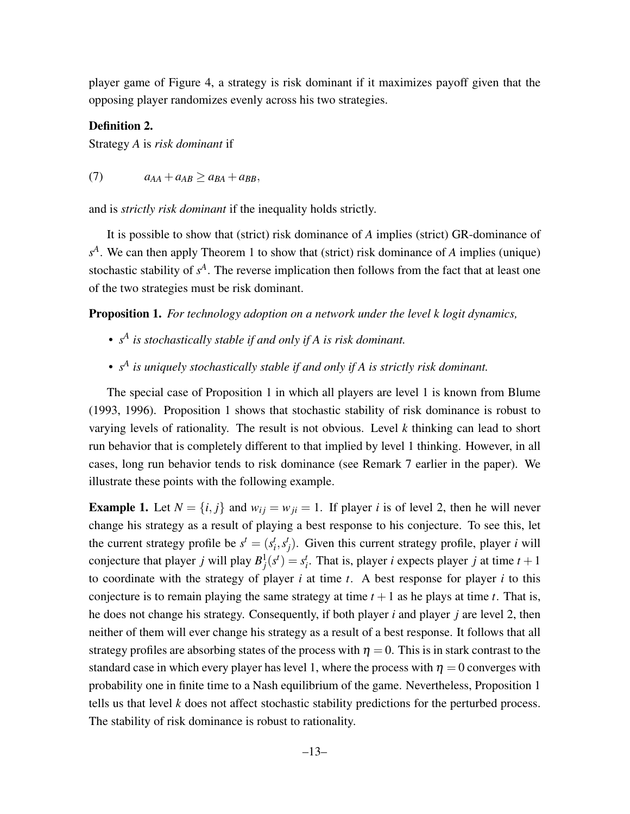player game of Figure 4, a strategy is risk dominant if it maximizes payoff given that the opposing player randomizes evenly across his two strategies.

#### Definition 2.

Strategy *A* is *risk dominant* if

$$
(7) \t a_{AA} + a_{AB} \ge a_{BA} + a_{BB},
$$

and is *strictly risk dominant* if the inequality holds strictly.

It is possible to show that (strict) risk dominance of *A* implies (strict) GR-dominance of *s A* . We can then apply Theorem 1 to show that (strict) risk dominance of *A* implies (unique) stochastic stability of  $s<sup>A</sup>$ . The reverse implication then follows from the fact that at least one of the two strategies must be risk dominant.

Proposition 1. *For technology adoption on a network under the level k logit dynamics,*

- *• s A is stochastically stable if and only if A is risk dominant.*
- *• s A is uniquely stochastically stable if and only if A is strictly risk dominant.*

The special case of Proposition 1 in which all players are level 1 is known from Blume (1993, 1996). Proposition 1 shows that stochastic stability of risk dominance is robust to varying levels of rationality. The result is not obvious. Level *k* thinking can lead to short run behavior that is completely different to that implied by level 1 thinking. However, in all cases, long run behavior tends to risk dominance (see Remark 7 earlier in the paper). We illustrate these points with the following example.

**Example 1.** Let  $N = \{i, j\}$  and  $w_{ij} = w_{ji} = 1$ . If player *i* is of level 2, then he will never change his strategy as a result of playing a best response to his conjecture. To see this, let the current strategy profile be  $s^t = (s_i^t, s_j^t)$ . Given this current strategy profile, player *i* will conjecture that player *j* will play  $B_j^1(s^t) = s_i^t$ . That is, player *i* expects player *j* at time  $t + 1$ to coordinate with the strategy of player *i* at time *t*. A best response for player *i* to this conjecture is to remain playing the same strategy at time  $t + 1$  as he plays at time  $t$ . That is, he does not change his strategy. Consequently, if both player *i* and player *j* are level 2, then neither of them will ever change his strategy as a result of a best response. It follows that all strategy profiles are absorbing states of the process with  $\eta = 0$ . This is in stark contrast to the standard case in which every player has level 1, where the process with  $\eta = 0$  converges with probability one in finite time to a Nash equilibrium of the game. Nevertheless, Proposition 1 tells us that level *k* does not affect stochastic stability predictions for the perturbed process. The stability of risk dominance is robust to rationality.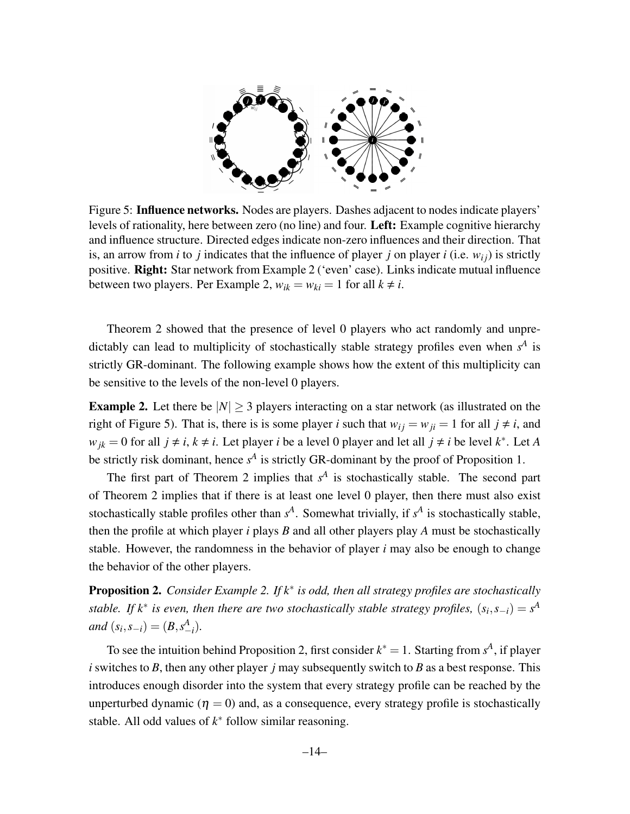

Figure 5: Influence networks. Nodes are players. Dashes adjacent to nodes indicate players' levels of rationality, here between zero (no line) and four. Left: Example cognitive hierarchy and influence structure. Directed edges indicate non-zero influences and their direction. That is, an arrow from *i* to *j* indicates that the influence of player *j* on player *i* (i.e.  $w_{ij}$ ) is strictly positive. Right: Star network from Example 2 ('even' case). Links indicate mutual influence between two players. Per Example 2,  $w_{ik} = w_{ki} = 1$  for all  $k \neq i$ .

Theorem 2 showed that the presence of level 0 players who act randomly and unpredictably can lead to multiplicity of stochastically stable strategy profiles even when  $s<sup>A</sup>$  is strictly GR-dominant. The following example shows how the extent of this multiplicity can be sensitive to the levels of the non-level 0 players.

**Example 2.** Let there be  $|N| \geq 3$  players interacting on a star network (as illustrated on the right of Figure 5). That is, there is is some player *i* such that  $w_{ij} = w_{ji} = 1$  for all  $j \neq i$ , and *w*<sub>jk</sub> = 0 for all *j* ≠ *i*, *k* ≠ *i*. Let player *i* be a level 0 player and let all *j* ≠ *i* be level *k*<sup>\*</sup>. Let *A* be strictly risk dominant, hence  $s^A$  is strictly GR-dominant by the proof of Proposition 1.

The first part of Theorem 2 implies that  $s<sup>A</sup>$  is stochastically stable. The second part of Theorem 2 implies that if there is at least one level 0 player, then there must also exist stochastically stable profiles other than  $s^A$ . Somewhat trivially, if  $s^A$  is stochastically stable, then the profile at which player *i* plays *B* and all other players play *A* must be stochastically stable. However, the randomness in the behavior of player *i* may also be enough to change the behavior of the other players.

Proposition 2. *Consider Example 2. If k*∗ *is odd, then all strategy profiles are stochastically stable.* If  $k^*$  is even, then there are two stochastically stable strategy profiles,  $(s_i, s_{-i}) = s^A$ *and*  $(s_i, s_{-i}) = (B, s_{-i}^A)$ *.* 

To see the intuition behind Proposition 2, first consider  $k^* = 1$ . Starting from  $s^A$ , if player *i* switches to *B*, then any other player *j* may subsequently switch to *B* as a best response. This introduces enough disorder into the system that every strategy profile can be reached by the unperturbed dynamic ( $\eta = 0$ ) and, as a consequence, every strategy profile is stochastically stable. All odd values of  $k^*$  follow similar reasoning.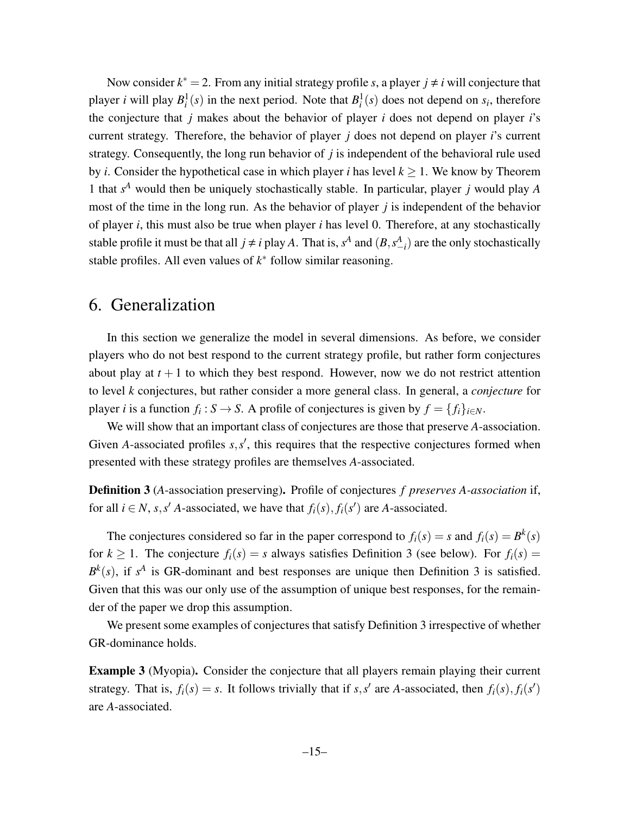Now consider  $k^* = 2$ . From any initial strategy profile *s*, a player  $j \neq i$  will conjecture that player *i* will play  $B_i^1(s)$  in the next period. Note that  $B_i^1(s)$  does not depend on  $s_i$ , therefore the conjecture that *j* makes about the behavior of player *i* does not depend on player *i*'s current strategy. Therefore, the behavior of player *j* does not depend on player *i*'s current strategy. Consequently, the long run behavior of *j* is independent of the behavioral rule used by *i*. Consider the hypothetical case in which player *i* has level  $k \geq 1$ . We know by Theorem 1 that *s <sup>A</sup>* would then be uniquely stochastically stable. In particular, player *j* would play *A* most of the time in the long run. As the behavior of player *j* is independent of the behavior of player *i*, this must also be true when player *i* has level 0. Therefore, at any stochastically stable profile it must be that all  $j \neq i$  play *A*. That is,  $s^A$  and  $(B, s^A_{-i})$  are the only stochastically stable profiles. All even values of  $k^*$  follow similar reasoning.

# 6. Generalization

In this section we generalize the model in several dimensions. As before, we consider players who do not best respond to the current strategy profile, but rather form conjectures about play at  $t + 1$  to which they best respond. However, now we do not restrict attention to level *k* conjectures, but rather consider a more general class. In general, a *conjecture* for player *i* is a function  $f_i : S \to S$ . A profile of conjectures is given by  $f = \{f_i\}_{i \in N}$ .

We will show that an important class of conjectures are those that preserve *A*-association. Given *A*-associated profiles  $s, s'$ , this requires that the respective conjectures formed when presented with these strategy profiles are themselves *A*-associated.

Definition 3 (*A*-association preserving). Profile of conjectures *f preserves A-association* if, for all  $i \in N$ ,  $s, s'$  *A*-associated, we have that  $f_i(s)$ ,  $f_i(s')$  are *A*-associated.

The conjectures considered so far in the paper correspond to  $f_i(s) = s$  and  $f_i(s) = B^k(s)$ for  $k \ge 1$ . The conjecture  $f_i(s) = s$  always satisfies Definition 3 (see below). For  $f_i(s) =$  $B^k(s)$ , if  $s^A$  is GR-dominant and best responses are unique then Definition 3 is satisfied. Given that this was our only use of the assumption of unique best responses, for the remainder of the paper we drop this assumption.

We present some examples of conjectures that satisfy Definition 3 irrespective of whether GR-dominance holds.

Example 3 (Myopia). Consider the conjecture that all players remain playing their current strategy. That is,  $f_i(s) = s$ . It follows trivially that if *s*, *s'* are *A*-associated, then  $f_i(s)$ ,  $f_i(s')$ are *A*-associated.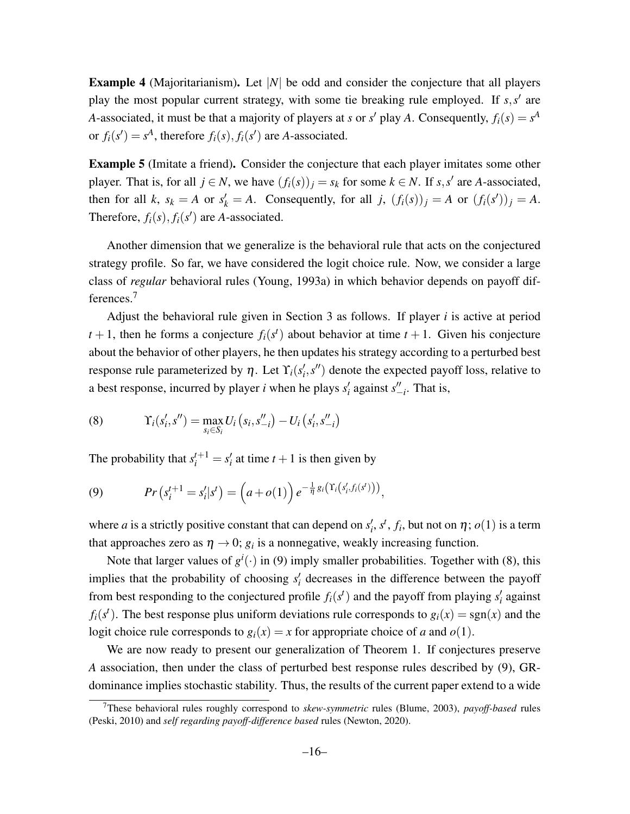Example 4 (Majoritarianism). Let |*N*| be odd and consider the conjecture that all players play the most popular current strategy, with some tie breaking rule employed. If  $s, s'$  are *A*-associated, it must be that a majority of players at *s* or *s'* play *A*. Consequently,  $f_i(s) = s^A$ or  $f_i(s') = s^A$ , therefore  $f_i(s)$ ,  $f_i(s')$  are *A*-associated.

Example 5 (Imitate a friend). Consider the conjecture that each player imitates some other player. That is, for all  $j \in N$ , we have  $(f_i(s))_j = s_k$  for some  $k \in N$ . If  $s, s'$  are *A*-associated, then for all *k*,  $s_k = A$  or  $s'_k = A$ . Consequently, for all *j*,  $(f_i(s))_j = A$  or  $(f_i(s'))_j = A$ . Therefore,  $f_i(s)$ ,  $f_i(s')$  are *A*-associated.

Another dimension that we generalize is the behavioral rule that acts on the conjectured strategy profile. So far, we have considered the logit choice rule. Now, we consider a large class of *regular* behavioral rules (Young, 1993a) in which behavior depends on payoff differences.<sup>7</sup>

Adjust the behavioral rule given in Section 3 as follows. If player *i* is active at period  $t + 1$ , then he forms a conjecture  $f_i(s^t)$  about behavior at time  $t + 1$ . Given his conjecture about the behavior of other players, he then updates his strategy according to a perturbed best response rule parameterized by  $\eta$ . Let  $\Upsilon_i(s'_i, s'')$  denote the expected payoff loss, relative to a best response, incurred by player *i* when he plays  $s_i$  against  $s_{-i}$ . That is,

(8) 
$$
\Upsilon_i(s'_i, s'') = \max_{s_i \in S_i} U_i(s_i, s''_{-i}) - U_i(s'_i, s''_{-i})
$$

The probability that  $s_i^{t+1} = s_i'$  at time  $t+1$  is then given by

(9) 
$$
Pr(s_i^{t+1} = s_i'|s^t) = (a + o(1)) e^{-\frac{1}{\eta} g_i(\Upsilon_i(s_i', f_i(s^t)))},
$$

where *a* is a strictly positive constant that can depend on  $s'_i$ ,  $s^t$ ,  $f_i$ , but not on  $\eta$ ;  $o(1)$  is a term that approaches zero as  $\eta \to 0$ ;  $g_i$  is a nonnegative, weakly increasing function.

Note that larger values of  $g^i(\cdot)$  in (9) imply smaller probabilities. Together with (8), this implies that the probability of choosing  $s_i$  decreases in the difference between the payoff from best responding to the conjectured profile  $f_i(s^t)$  and the payoff from playing  $s'_i$  against  $f_i(s^t)$ . The best response plus uniform deviations rule corresponds to  $g_i(x) = sgn(x)$  and the logit choice rule corresponds to  $g_i(x) = x$  for appropriate choice of *a* and  $o(1)$ .

We are now ready to present our generalization of Theorem 1. If conjectures preserve *A* association, then under the class of perturbed best response rules described by (9), GRdominance implies stochastic stability. Thus, the results of the current paper extend to a wide

<sup>7</sup>These behavioral rules roughly correspond to *skew-symmetric* rules (Blume, 2003), *payoff-based* rules (Peski, 2010) and *self regarding payoff-difference based* rules (Newton, 2020).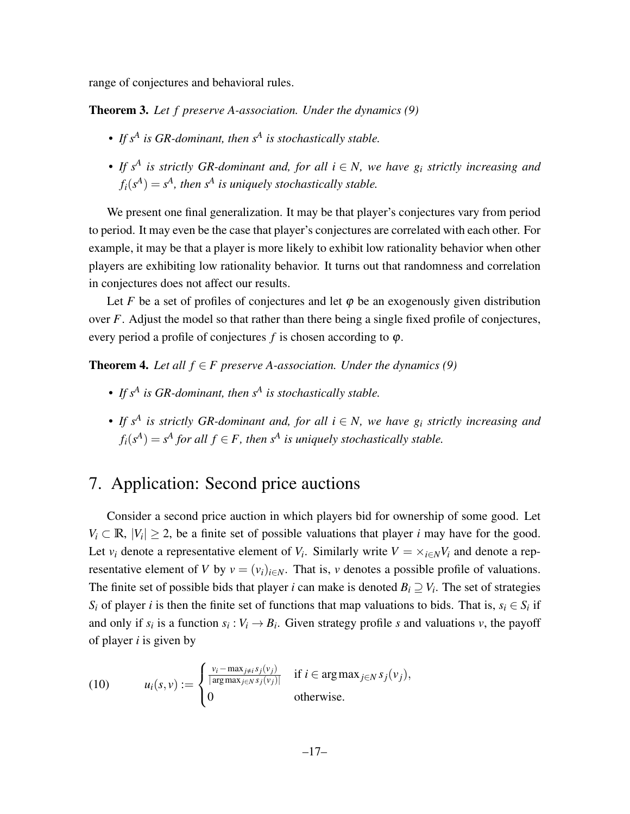range of conjectures and behavioral rules.

Theorem 3. *Let f preserve A-association. Under the dynamics (9)*

- *• If s<sup>A</sup> is GR-dominant, then s<sup>A</sup> is stochastically stable.*
- *• If s<sup>A</sup> is strictly GR-dominant and, for all i* ∈ *N, we have g<sup>i</sup> strictly increasing and*  $f_i(s^A) = s^A$ , then  $s^A$  is uniquely stochastically stable.

We present one final generalization. It may be that player's conjectures vary from period to period. It may even be the case that player's conjectures are correlated with each other. For example, it may be that a player is more likely to exhibit low rationality behavior when other players are exhibiting low rationality behavior. It turns out that randomness and correlation in conjectures does not affect our results.

Let *F* be a set of profiles of conjectures and let  $\varphi$  be an exogenously given distribution over *F*. Adjust the model so that rather than there being a single fixed profile of conjectures, every period a profile of conjectures  $f$  is chosen according to  $\varphi$ .

**Theorem 4.** Let all  $f \in F$  preserve A-association. Under the dynamics (9)

- *• If s<sup>A</sup> is GR-dominant, then s<sup>A</sup> is stochastically stable.*
- *• If s<sup>A</sup> is strictly GR-dominant and, for all i* ∈ *N, we have g<sup>i</sup> strictly increasing and*  $f_i(s^A) = s^A$  for all  $f \in F$ , then  $s^A$  is uniquely stochastically stable.

# 7. Application: Second price auctions

Consider a second price auction in which players bid for ownership of some good. Let  $V_i \subset \mathbb{R}, |V_i| \geq 2$ , be a finite set of possible valuations that player *i* may have for the good. Let  $v_i$  denote a representative element of  $V_i$ . Similarly write  $V = \times_{i \in N} V_i$  and denote a representative element of *V* by  $v = (v_i)_{i \in N}$ . That is, *v* denotes a possible profile of valuations. The finite set of possible bids that player *i* can make is denoted  $B_i \supseteq V_i$ . The set of strategies *S*<sup>*i*</sup> of player *i* is then the finite set of functions that map valuations to bids. That is,  $s_i \in S_i$  if and only if  $s_i$  is a function  $s_i: V_i \to B_i$ . Given strategy profile *s* and valuations *v*, the payoff of player *i* is given by

(10) 
$$
u_i(s,v) := \begin{cases} \frac{v_i - \max_{j \neq i} s_j(v_j)}{|\arg\max_{j \in N} s_j(v_j)|} & \text{if } i \in \arg\max_{j \in N} s_j(v_j), \\ 0 & \text{otherwise.} \end{cases}
$$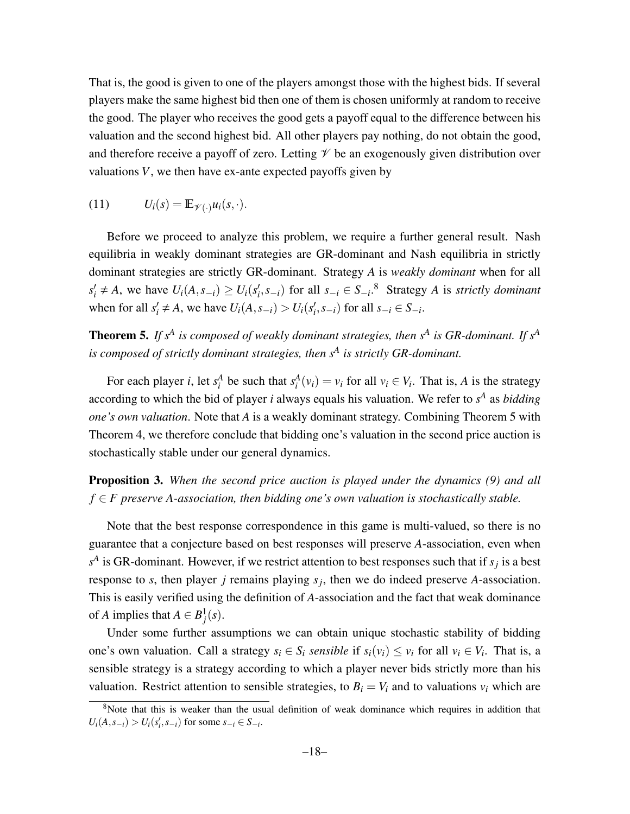That is, the good is given to one of the players amongst those with the highest bids. If several players make the same highest bid then one of them is chosen uniformly at random to receive the good. The player who receives the good gets a payoff equal to the difference between his valuation and the second highest bid. All other players pay nothing, do not obtain the good, and therefore receive a payoff of zero. Letting  $\mathcal V$  be an exogenously given distribution over valuations *V*, we then have ex-ante expected payoffs given by

(11) 
$$
U_i(s) = \mathbb{E}_{\mathscr{V}(\cdot)} u_i(s,\cdot).
$$

Before we proceed to analyze this problem, we require a further general result. Nash equilibria in weakly dominant strategies are GR-dominant and Nash equilibria in strictly dominant strategies are strictly GR-dominant. Strategy *A* is *weakly dominant* when for all  $s'_i \neq A$ , we have  $U_i(A, s_{-i}) \geq U_i(s'_i, s_{-i})$  for all  $s_{-i} \in S_{-i}$ .<sup>8</sup> Strategy A is strictly dominant when for all  $s'_i \neq A$ , we have  $U_i(A, s_{-i}) > U_i(s'_i, s_{-i})$  for all  $s_{-i} \in S_{-i}$ .

Theorem 5. *If s<sup>A</sup> is composed of weakly dominant strategies, then s<sup>A</sup> is GR-dominant. If s<sup>A</sup> is composed of strictly dominant strategies, then s<sup>A</sup> is strictly GR-dominant.*

For each player *i*, let  $s_i^A$  be such that  $s_i^A(v_i) = v_i$  for all  $v_i \in V_i$ . That is, *A* is the strategy according to which the bid of player *i* always equals his valuation. We refer to  $s<sup>A</sup>$  as *bidding one's own valuation*. Note that *A* is a weakly dominant strategy. Combining Theorem 5 with Theorem 4, we therefore conclude that bidding one's valuation in the second price auction is stochastically stable under our general dynamics.

Proposition 3. *When the second price auction is played under the dynamics (9) and all f* ∈ *F preserve A-association, then bidding one's own valuation is stochastically stable.*

Note that the best response correspondence in this game is multi-valued, so there is no guarantee that a conjecture based on best responses will preserve *A*-association, even when  $s^A$  is GR-dominant. However, if we restrict attention to best responses such that if  $s_j$  is a best response to *s*, then player *j* remains playing *s<sup>j</sup>* , then we do indeed preserve *A*-association. This is easily verified using the definition of *A*-association and the fact that weak dominance of *A* implies that  $A \in B_j^1(s)$ .

Under some further assumptions we can obtain unique stochastic stability of bidding one's own valuation. Call a strategy  $s_i \in S_i$  *sensible* if  $s_i(v_i) \le v_i$  for all  $v_i \in V_i$ . That is, a sensible strategy is a strategy according to which a player never bids strictly more than his valuation. Restrict attention to sensible strategies, to  $B_i = V_i$  and to valuations  $v_i$  which are

<sup>&</sup>lt;sup>8</sup>Note that this is weaker than the usual definition of weak dominance which requires in addition that  $U_i(A, s_{-i}) > U_i(s'_i, s_{-i})$  for some  $s_{-i} \in S_{-i}$ .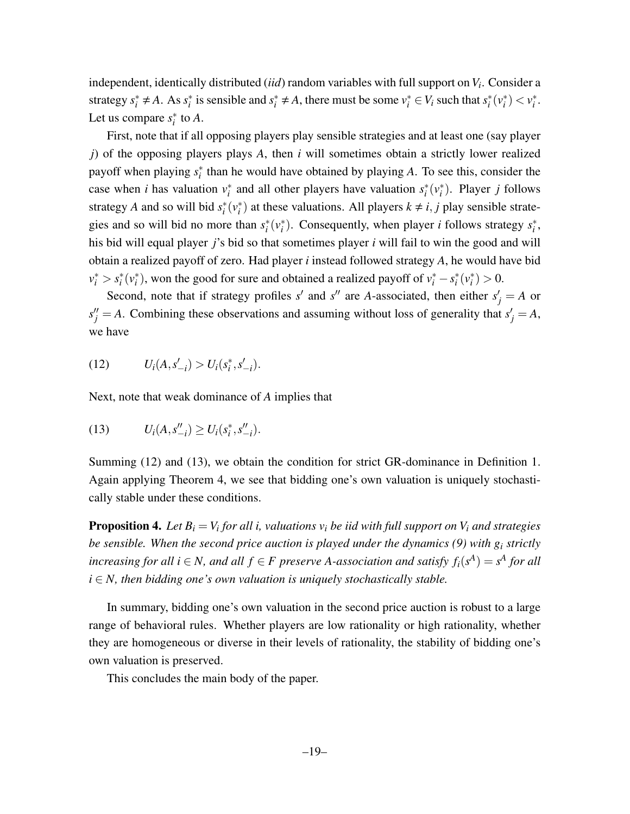independent, identically distributed (*iid*) random variables with full support on*V<sup>i</sup>* . Consider a strategy  $s_i^* \neq A$ . As  $s_i^*$  is sensible and  $s_i^* \neq A$ , there must be some  $v_i^* \in V_i$  such that  $s_i^*(v_i^*) < v_i^*$ . Let us compare  $s_i^*$  to  $A$ .

First, note that if all opposing players play sensible strategies and at least one (say player *j*) of the opposing players plays *A*, then *i* will sometimes obtain a strictly lower realized payoff when playing  $s_i^*$  than he would have obtained by playing *A*. To see this, consider the case when *i* has valuation  $v_i^*$  and all other players have valuation  $s_i^*(v_i^*)$ . Player *j* follows strategy *A* and so will bid  $s_i^*(v_i^*)$  at these valuations. All players  $k \neq i, j$  play sensible strategies and so will bid no more than  $s_i^*(v_i^*)$ . Consequently, when player *i* follows strategy  $s_i^*$ , his bid will equal player *j*'s bid so that sometimes player *i* will fail to win the good and will obtain a realized payoff of zero. Had player *i* instead followed strategy *A*, he would have bid  $v_i^* > s_i^*(v_i^*)$ , won the good for sure and obtained a realized payoff of  $v_i^* - s_i^*(v_i^*) > 0$ .

Second, note that if strategy profiles *s*<sup> $\prime$ </sup> and *s*<sup> $\prime\prime$ </sup> are *A*-associated, then either  $s'_{j} = A$  or  $s''_j = A$ . Combining these observations and assuming without loss of generality that  $s'_j = A$ , we have

(12) 
$$
U_i(A, s'_{-i}) > U_i(s_i^*, s'_{-i}).
$$

Next, note that weak dominance of *A* implies that

(13) 
$$
U_i(A, s_{-i}'') \geq U_i(s_i^*, s_{-i}'').
$$

Summing (12) and (13), we obtain the condition for strict GR-dominance in Definition 1. Again applying Theorem 4, we see that bidding one's own valuation is uniquely stochastically stable under these conditions.

Proposition 4. *Let B<sup>i</sup>* = *V<sup>i</sup> for all i, valuations v<sup>i</sup> be iid with full support on V<sup>i</sup> and strategies be sensible. When the second price auction is played under the dynamics (9) with g<sup>i</sup> strictly increasing for all i*  $\in$  *N*, and all  $f \in F$  preserve A-association and satisfy  $f_i(s^A) = s^A$  for all  $i \in N$ , then bidding one's own valuation is uniquely stochastically stable.

In summary, bidding one's own valuation in the second price auction is robust to a large range of behavioral rules. Whether players are low rationality or high rationality, whether they are homogeneous or diverse in their levels of rationality, the stability of bidding one's own valuation is preserved.

This concludes the main body of the paper.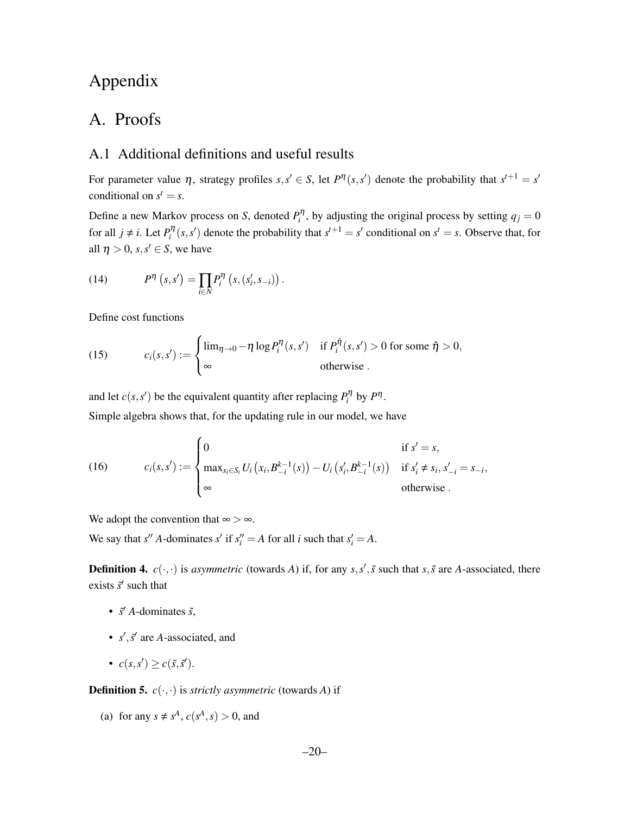# Appendix

# A. Proofs

## A.1 Additional definitions and useful results

For parameter value  $\eta$ , strategy profiles  $s, s' \in S$ , let  $P^{\eta}(s, s')$  denote the probability that  $s^{t+1} = s'$ conditional on  $s^t = s$ .

Define a new Markov process on *S*, denoted  $P_i^{\eta}$ , by adjusting the original process by setting  $q_j = 0$ for all  $j \neq i$ . Let  $P_i^{\eta}(s, s')$  denote the probability that  $s^{t+1} = s'$  conditional on  $s' = s$ . Observe that, for all  $\eta > 0$ ,  $s, s' \in S$ , we have

(14) 
$$
P^{\eta}\left(s,s'\right) = \prod_{i \in N} P_i^{\eta}\left(s,\left(s'_i,s_{-i}\right)\right).
$$

Define cost functions

(15) 
$$
c_i(s,s') := \begin{cases} \lim_{\eta \to 0} -\eta \log P_i^{\eta}(s,s') & \text{if } P_i^{\hat{\eta}}(s,s') > 0 \text{ for some } \hat{\eta} > 0, \\ \infty & \text{otherwise}. \end{cases}
$$

and let  $c(s, s')$  be the equivalent quantity after replacing  $P_i^{\eta}$  by  $P^{\eta}$ . Simple algebra shows that, for the updating rule in our model, we have

(16) 
$$
c_i(s,s') := \begin{cases} 0 & \text{if } s' = s, \\ \max_{x_i \in S_i} U_i (x_i, B_{-i}^{k-1}(s)) - U_i (s'_i, B_{-i}^{k-1}(s)) & \text{if } s'_i \neq s_i, s'_{-i} = s_{-i}, \\ \infty & \text{otherwise.} \end{cases}
$$

We adopt the convention that  $\infty > \infty$ .

We say that  $s''$  *A*-dominates  $s'$  if  $s''_i = A$  for all *i* such that  $s'_i = A$ .

**Definition 4.**  $c(\cdot, \cdot)$  is *asymmetric* (towards *A*) if, for any  $s, s', \tilde{s}$  such that  $s, \tilde{s}$  are *A*-associated, there exists  $\vec{s}'$  such that

- $\tilde{s}'$  *A*-dominates  $\tilde{s}$ ,
- $s'$ ,  $\tilde{s}'$  are *A*-associated, and
- $c(s, s') \geq c(\tilde{s}, \tilde{s}').$

**Definition 5.**  $c(\cdot, \cdot)$  is *strictly asymmetric* (towards *A*) if

(a) for any  $s \neq s^A$ ,  $c(s^A, s) > 0$ , and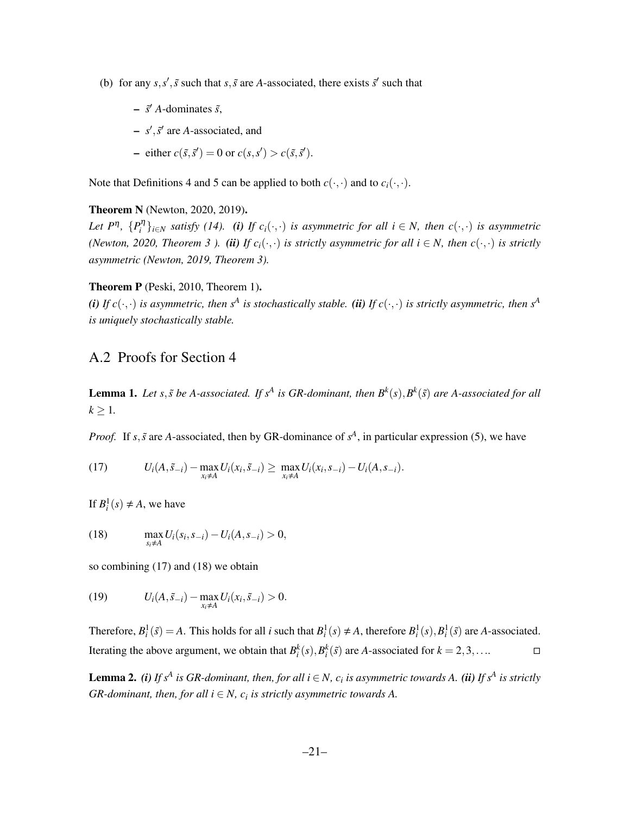- (b) for any  $s, s', \tilde{s}$  such that  $s, \tilde{s}$  are *A*-associated, there exists  $\tilde{s}'$  such that
	- *s*˜ 0 *A*-dominates ˜*s*,
	- $\sim s'$ ,  $\tilde{s}'$  are *A*-associated, and
	- $-$  either  $c(\tilde{s}, \tilde{s}') = 0$  or  $c(s, s') > c(\tilde{s}, \tilde{s}')$ .

Note that Definitions 4 and 5 can be applied to both  $c(\cdot, \cdot)$  and to  $c_i(\cdot, \cdot)$ .

#### Theorem N (Newton, 2020, 2019).

*Let*  $P^{\eta}$ ,  $\{P_i^{\eta}\}_{i \in N}$  *satisfy* (14). (i) If  $c_i(\cdot, \cdot)$  is asymmetric for all  $i \in N$ , then  $c(\cdot, \cdot)$  is asymmetric *(Newton, 2020, Theorem 3 ). (ii) If*  $c_i(\cdot, \cdot)$  *is strictly asymmetric for all*  $i \in N$ *, then*  $c(\cdot, \cdot)$  *is strictly asymmetric (Newton, 2019, Theorem 3).*

#### Theorem P (Peski, 2010, Theorem 1).

*(i)* If  $c(\cdot, \cdot)$  *is asymmetric, then*  $s^A$  *is stochastically stable. (ii)* If  $c(\cdot, \cdot)$  *is strictly asymmetric, then*  $s^A$ *is uniquely stochastically stable.*

### A.2 Proofs for Section 4

**Lemma 1.** Let s,  $\tilde{s}$  be A-associated. If  $s^A$  is GR-dominant, then  $B^k(s), B^k(\tilde{s})$  are A-associated for all  $k \geq 1$ .

*Proof.* If *s*,  $\tilde{s}$  are *A*-associated, then by GR-dominance of  $s^A$ , in particular expression (5), we have

(17) 
$$
U_i(A, \tilde{s}_{-i}) - \max_{x_i \neq A} U_i(x_i, \tilde{s}_{-i}) \geq \max_{x_i \neq A} U_i(x_i, s_{-i}) - U_i(A, s_{-i}).
$$

If  $B_i^1(s) \neq A$ , we have

(18) 
$$
\max_{s_i \neq A} U_i(s_i, s_{-i}) - U_i(A, s_{-i}) > 0,
$$

so combining (17) and (18) we obtain

(19) 
$$
U_i(A, \tilde{s}_{-i}) - \max_{x_i \neq A} U_i(x_i, \tilde{s}_{-i}) > 0.
$$

Therefore,  $B_i^1(\tilde{s}) = A$ . This holds for all *i* such that  $B_i^1(s) \neq A$ , therefore  $B_i^1(s)$ ,  $B_i^1(\tilde{s})$  are *A*-associated. Iterating the above argument, we obtain that  $B_i^k(s)$ ,  $B_i^k(\tilde{s})$  are *A*-associated for  $k = 2, 3, \ldots$ 

**Lemma 2.** (i) If  $s^A$  is GR-dominant, then, for all  $i \in N$ ,  $c_i$  is asymmetric towards A. (ii) If  $s^A$  is strictly  $GR$ -dominant, then, for all  $i \in N$ ,  $c_i$  is strictly asymmetric towards A.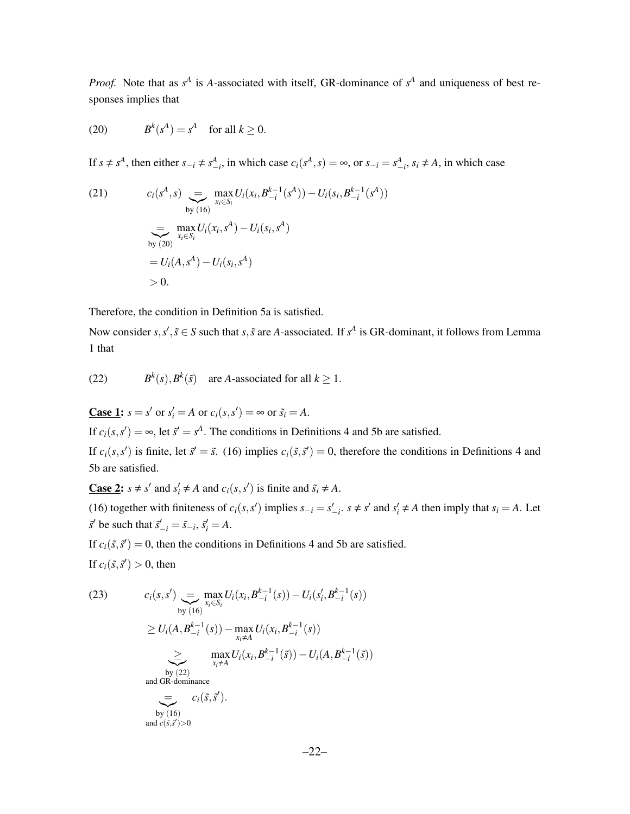*Proof.* Note that as  $s^A$  is *A*-associated with itself, GR-dominance of  $s^A$  and uniqueness of best responses implies that

(20) 
$$
B^k(s^A) = s^A \quad \text{for all } k \ge 0.
$$

If  $s \neq s^A$ , then either  $s_{-i} \neq s^A_{-i}$ , in which case  $c_i(s^A, s) = \infty$ , or  $s_{-i} = s^A_{-i}$ ,  $s_i \neq A$ , in which case

(21) 
$$
c_i(s^A, s) = \max_{\substack{x_i \in S_i}} U_i(x_i, B_{-i}^{k-1}(s^A)) - U_i(s_i, B_{-i}^{k-1}(s^A))
$$
  
\n
$$
= \max_{x_i \in S_i} U_i(x_i, s^A) - U_i(s_i, s^A)
$$
  
\n
$$
= U_i(A, s^A) - U_i(s_i, s^A)
$$
  
\n
$$
> 0.
$$

Therefore, the condition in Definition 5a is satisfied.

Now consider  $s, s', \tilde{s} \in S$  such that  $s, \tilde{s}$  are *A*-associated. If  $s^A$  is GR-dominant, it follows from Lemma 1 that

(22) 
$$
B^k(s), B^k(\tilde{s})
$$
 are A-associated for all  $k \ge 1$ .

**Case 1:**  $s = s'$  or  $s'_i = A$  or  $c_i(s, s') = \infty$  or  $\tilde{s}_i = A$ .

If  $c_i(s, s') = \infty$ , let  $\tilde{s}' = s^A$ . The conditions in Definitions 4 and 5b are satisfied.

If  $c_i(s, s')$  is finite, let  $\tilde{s}' = \tilde{s}$ . (16) implies  $c_i(\tilde{s}, \tilde{s}') = 0$ , therefore the conditions in Definitions 4 and 5b are satisfied.

**<u>Case 2</u>:**  $s \neq s'$  and  $s'_i \neq A$  and  $c_i(s, s')$  is finite and  $\tilde{s}_i \neq A$ .

(16) together with finiteness of  $c_i(s, s')$  implies  $s_{-i} = s'_{-i}$ ,  $s \neq s'$  and  $s'_i \neq A$  then imply that  $s_i = A$ . Let  $\tilde{s}'$  be such that  $\tilde{s}'_{-i} = \tilde{s}_{-i}, \tilde{s}'_i = A$ .

If  $c_i(\tilde{s}, \tilde{s}') = 0$ , then the conditions in Definitions 4 and 5b are satisfied.

If  $c_i(\tilde{s}, \tilde{s}') > 0$ , then

(23) 
$$
c_i(s, s') = \max_{\substack{\text{by (16)}}} \sum_{x_i \in S_i} \max_l U_i(x_i, B_{-i}^{k-1}(s)) - U_i(s'_i, B_{-i}^{k-1}(s))
$$

$$
\geq U_i(A, B_{-i}^{k-1}(s)) - \max_{x_i \neq A} U_i(x_i, B_{-i}^{k-1}(s))
$$

$$
\geq \max_{\substack{x_i \neq A}} \sum_{i \neq i} U_i(x_i, B_{-i}^{k-1}(s)) - U_i(A, B_{-i}^{k-1}(s))
$$
by (22)  
and GR-dominance  

$$
= C_i(\tilde{s}, \tilde{s}').
$$
  
by (16)  
and  $c(\tilde{s}, \tilde{s}') > 0$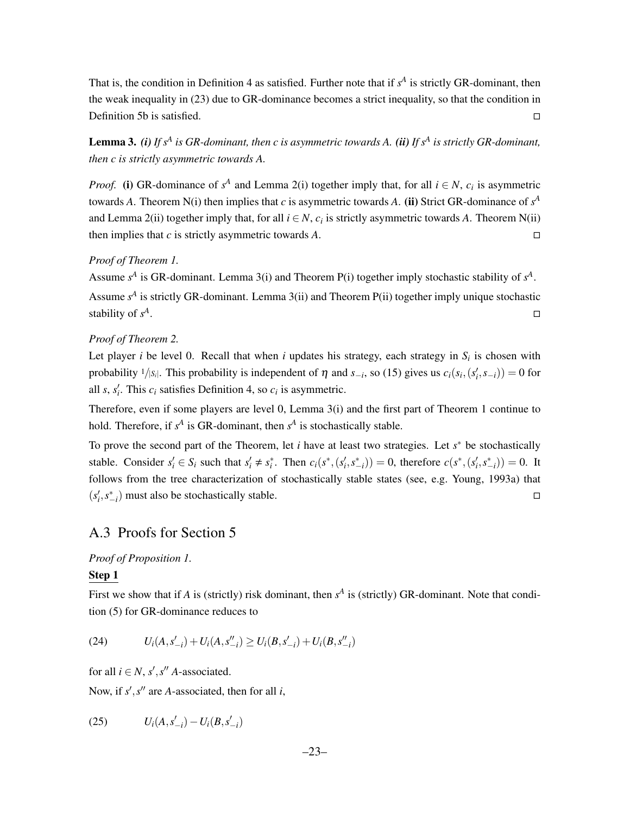That is, the condition in Definition 4 as satisfied. Further note that if  $s<sup>A</sup>$  is strictly GR-dominant, then the weak inequality in (23) due to GR-dominance becomes a strict inequality, so that the condition in Definition 5b is satisfied.  $\square$ 

Lemma 3. *(i) If s<sup>A</sup> is GR-dominant, then c is asymmetric towards A. (ii) If s<sup>A</sup> is strictly GR-dominant, then c is strictly asymmetric towards A.*

*Proof.* (i) GR-dominance of  $s^A$  and Lemma 2(i) together imply that, for all  $i \in N$ ,  $c_i$  is asymmetric towards *A*. Theorem N(i) then implies that *c* is asymmetric towards *A*. (ii) Strict GR-dominance of  $s^A$ and Lemma 2(ii) together imply that, for all  $i \in N$ ,  $c_i$  is strictly asymmetric towards *A*. Theorem N(ii) then implies that *c* is strictly asymmetric towards *A*.

#### *Proof of Theorem 1.*

Assume  $s^A$  is GR-dominant. Lemma 3(i) and Theorem P(i) together imply stochastic stability of  $s^A$ . Assume  $s<sup>A</sup>$  is strictly GR-dominant. Lemma 3(ii) and Theorem P(ii) together imply unique stochastic stability of *s A* .

#### *Proof of Theorem 2.*

Let player *i* be level 0. Recall that when *i* updates his strategy, each strategy in *S<sup>i</sup>* is chosen with probability <sup>1</sup>/ $|S_i|$ . This probability is independent of  $\eta$  and  $s_{-i}$ , so (15) gives us  $c_i(s_i, (s'_i, s_{-i})) = 0$  for all *s*,  $s'_i$ . This  $c_i$  satisfies Definition 4, so  $c_i$  is asymmetric.

Therefore, even if some players are level 0, Lemma 3(i) and the first part of Theorem 1 continue to hold. Therefore, if  $s^A$  is GR-dominant, then  $s^A$  is stochastically stable.

To prove the second part of the Theorem, let *i* have at least two strategies. Let *s* ∗ be stochastically stable. Consider  $s'_i \in S_i$  such that  $s'_i \neq s_i^*$ . Then  $c_i(s^*, (s'_i, s_{-i}^*)) = 0$ , therefore  $c(s^*, (s'_i, s_{-i}^*)) = 0$ . It follows from the tree characterization of stochastically stable states (see, e.g. Young, 1993a) that  $(s'_i, s_{-i}^*)$  must also be stochastically stable.

## A.3 Proofs for Section 5

#### *Proof of Proposition 1.*

#### Step 1

First we show that if *A* is (strictly) risk dominant, then  $s^A$  is (strictly) GR-dominant. Note that condition (5) for GR-dominance reduces to

(24) 
$$
U_i(A, s'_{-i}) + U_i(A, s''_{-i}) \ge U_i(B, s'_{-i}) + U_i(B, s''_{-i})
$$

for all  $i \in N$ ,  $s'$ ,  $s''$  *A*-associated.

Now, if  $s'$ ,  $s''$  are *A*-associated, then for all *i*,

(25) 
$$
U_i(A, s'_{-i}) - U_i(B, s'_{-i})
$$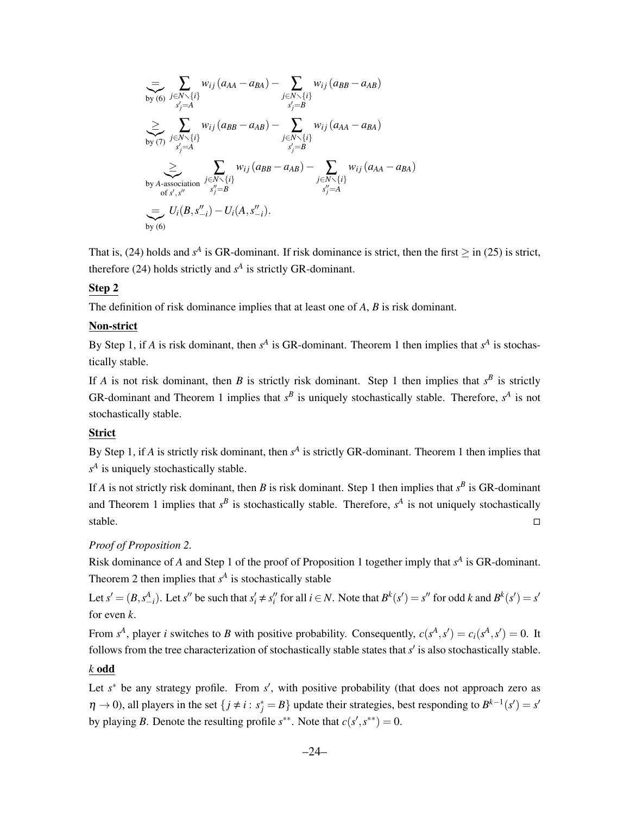$$
\sum_{\substack{b \text{ by (6)}}} \sum_{\substack{j \in N \setminus \{i\} \\ s'_j = A}} w_{ij} (a_{AA} - a_{BA}) - \sum_{\substack{j \in N \setminus \{i\} \\ s'_j = B}} w_{ij} (a_{BB} - a_{AB})
$$
\n
$$
\sum_{\substack{b \in N \setminus \{i\} \\ s'_j = A}} w_{ij} (a_{BB} - a_{AB}) - \sum_{\substack{j \in N \setminus \{i\} \\ s'_j = B}} w_{ij} (a_{AA} - a_{BA})
$$
\nby *A*-association  $\sum_{\substack{j \in N \setminus \{i\} \\ s''_j = B}} w_{ij} (a_{BB} - a_{AB}) - \sum_{\substack{j \in N \setminus \{i\} \\ s''_j = A}} w_{ij} (a_{AA} - a_{BA})$ \n
$$
\sum_{\substack{b \in N \setminus \{i\} \\ b'_{b'} = A}} w_{ij} (B, s''_{-i}) - U_i(A, s''_{-i}).
$$

That is, (24) holds and  $s^A$  is GR-dominant. If risk dominance is strict, then the first  $\geq$  in (25) is strict, therefore (24) holds strictly and  $s<sup>A</sup>$  is strictly GR-dominant.

### Step 2

The definition of risk dominance implies that at least one of *A*, *B* is risk dominant.

#### Non-strict

By Step 1, if *A* is risk dominant, then  $s^A$  is GR-dominant. Theorem 1 then implies that  $s^A$  is stochastically stable.

If *A* is not risk dominant, then *B* is strictly risk dominant. Step 1 then implies that  $s^B$  is strictly GR-dominant and Theorem 1 implies that  $s^B$  is uniquely stochastically stable. Therefore,  $s^A$  is not stochastically stable.

#### Strict

By Step 1, if *A* is strictly risk dominant, then  $s^A$  is strictly GR-dominant. Theorem 1 then implies that *s A* is uniquely stochastically stable.

If *A* is not strictly risk dominant, then *B* is risk dominant. Step 1 then implies that  $s^B$  is GR-dominant and Theorem 1 implies that  $s^B$  is stochastically stable. Therefore,  $s^A$  is not uniquely stochastically stable.  $\square$ 

### *Proof of Proposition 2.*

Risk dominance of *A* and Step 1 of the proof of Proposition 1 together imply that  $s^A$  is GR-dominant. Theorem 2 then implies that  $s<sup>A</sup>$  is stochastically stable

Let  $s' = (B, s^A_{-i})$ . Let s'' be such that  $s'_i \neq s''_i$  for all  $i \in N$ . Note that  $B^k(s') = s''$  for odd k and  $B^k(s') = s'$ for even *k*.

From  $s^A$ , player *i* switches to *B* with positive probability. Consequently,  $c(s^A, s') = c_i(s^A, s') = 0$ . It follows from the tree characterization of stochastically stable states that  $s'$  is also stochastically stable.

#### *k* odd

Let *s*<sup>\*</sup> be any strategy profile. From *s'*, with positive probability (that does not approach zero as  $\eta \to 0$ , all players in the set  $\{j \neq i : s_j^* = B\}$  update their strategies, best responding to  $B^{k-1}(s') = s'$ by playing *B*. Denote the resulting profile  $s^{**}$ . Note that  $c(s', s^{**}) = 0$ .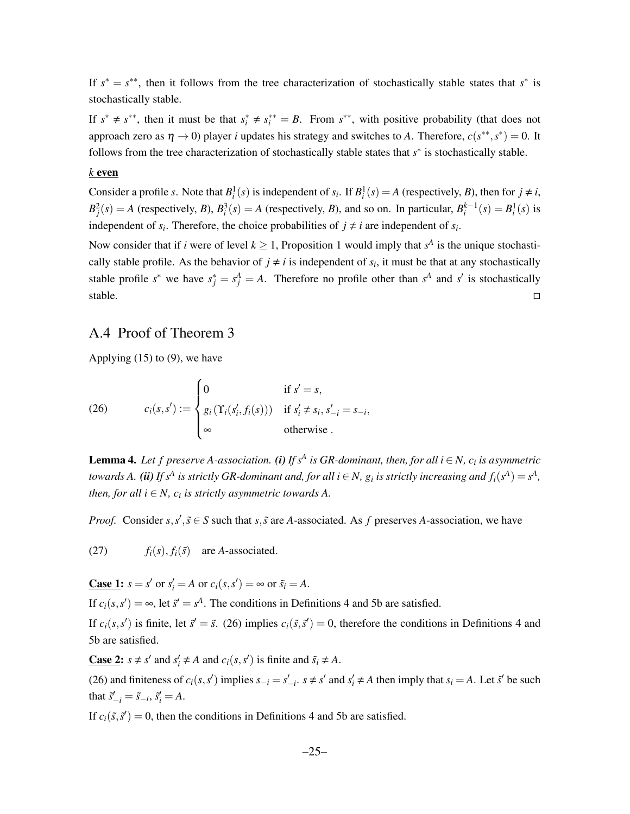If  $s^* = s^{**}$ , then it follows from the tree characterization of stochastically stable states that  $s^*$  is stochastically stable.

If  $s^* \neq s^{**}$ , then it must be that  $s_i^* \neq s_i^{**} = B$ . From  $s^{**}$ , with positive probability (that does not approach zero as  $\eta \to 0$ ) player *i* updates his strategy and switches to *A*. Therefore,  $c(s^{**}, s^*) = 0$ . It follows from the tree characterization of stochastically stable states that *s* ∗ is stochastically stable.

#### *k* even

Consider a profile *s*. Note that  $B_i^1(s)$  is independent of  $s_i$ . If  $B_i^1(s) = A$  (respectively, *B*), then for  $j \neq i$ ,  $B_j^2(s) = A$  (respectively, B),  $B_i^3(s) = A$  (respectively, B), and so on. In particular,  $B_i^{k-1}(s) = B_i^1(s)$  is independent of  $s_i$ . Therefore, the choice probabilities of  $j \neq i$  are independent of  $s_i$ .

Now consider that if *i* were of level  $k \geq 1$ , Proposition 1 would imply that  $s^A$  is the unique stochastically stable profile. As the behavior of  $j \neq i$  is independent of  $s_i$ , it must be that at any stochastically stable profile  $s^*$  we have  $s_j^* = s_j^A = A$ . Therefore no profile other than  $s^A$  and  $s'$  is stochastically stable.  $\square$ 

### A.4 Proof of Theorem 3

Applying (15) to (9), we have

(26) 
$$
c_i(s,s') := \begin{cases} 0 & \text{if } s' = s, \\ g_i(\Upsilon_i(s'_i, f_i(s))) & \text{if } s'_i \neq s_i, s'_{-i} = s_{-i}, \\ \infty & \text{otherwise.} \end{cases}
$$

**Lemma 4.** Let f preserve A-association. (i) If  $s^A$  is GR-dominant, then, for all  $i \in N$ ,  $c_i$  is asymmetric *towards A.* (*ii*) If  $s^A$  is strictly GR-dominant and, for all  $i \in N$ ,  $g_i$  is strictly increasing and  $f_i(s^A) = s^A$ , *then, for all*  $i \in N$ *,*  $c_i$  *is strictly asymmetric towards A.* 

*Proof.* Consider  $s, s', \tilde{s} \in S$  such that  $s, \tilde{s}$  are *A*-associated. As *f* preserves *A*-association, we have

(27)  $f_i(s)$ ,  $f_i(\tilde{s})$  are *A*-associated.

**Case 1:**  $s = s'$  or  $s'_i = A$  or  $c_i(s, s') = \infty$  or  $\tilde{s}_i = A$ .

If  $c_i(s, s') = \infty$ , let  $\tilde{s}' = s^A$ . The conditions in Definitions 4 and 5b are satisfied.

If  $c_i(s, s')$  is finite, let  $\vec{s}' = \vec{s}$ . (26) implies  $c_i(\vec{s}, \vec{s}') = 0$ , therefore the conditions in Definitions 4 and 5b are satisfied.

**<u>Case 2</u>:**  $s \neq s'$  and  $s'_i \neq A$  and  $c_i(s, s')$  is finite and  $\tilde{s}_i \neq A$ .

(26) and finiteness of  $c_i(s, s')$  implies  $s_{-i} = s'_{-i}$ ,  $s \neq s'$  and  $s'_i \neq A$  then imply that  $s_i = A$ . Let  $\tilde{s}'$  be such that  $\tilde{s}'_{-i} = \tilde{s}_{-i}, \, \tilde{s}'_i = A$ .

If  $c_i(\tilde{s}, \tilde{s}') = 0$ , then the conditions in Definitions 4 and 5b are satisfied.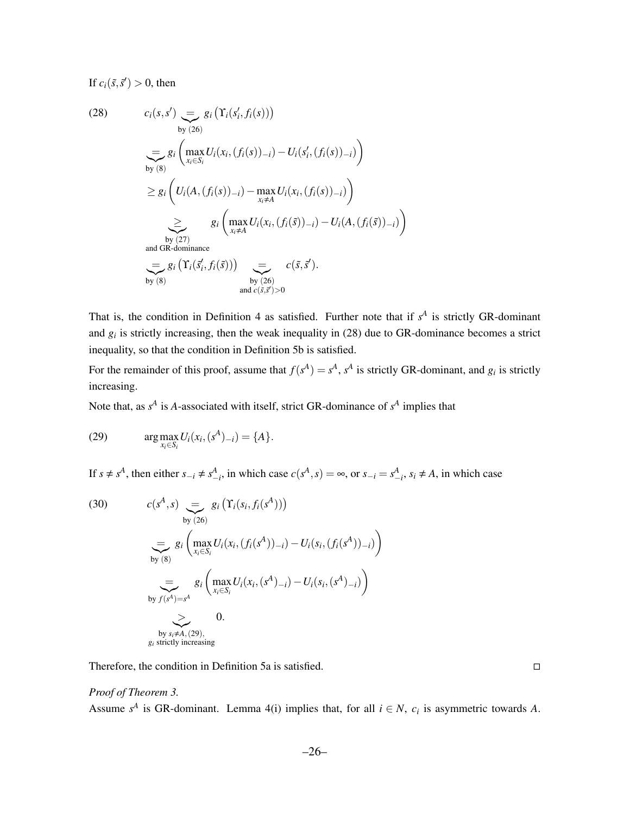If  $c_i(\tilde{s}, \tilde{s}') > 0$ , then

(28) 
$$
c_i(s, s') = g_i\left(\Upsilon_i(s'_i, f_i(s))\right)
$$
  
\n
$$
= g_i\left(\max_{x_i \in S_i} U_i(x_i, (f_i(s))_{-i}) - U_i(s'_i, (f_i(s))_{-i})\right)
$$
  
\n
$$
\geq g_i\left(U_i(A, (f_i(s))_{-i}) - \max_{x_i \neq A} U_i(x_i, (f_i(s))_{-i})\right)
$$
  
\n
$$
\geq g_i\left(\max_{x_i \neq A} U_i(x_i, (f_i(\tilde{s}))_{-i}) - U_i(A, (f_i(\tilde{s}))_{-i})\right)
$$
  
\n
$$
= g_i\left(\max_{x_i \neq A} U_i(x_i, (f_i(\tilde{s}))_{-i}) - U_i(A, (f_i(\tilde{s}))_{-i})\right)
$$
  
\nand GR-dominance  
\n
$$
= g_i\left(\Upsilon_i(\tilde{s}'_i, f_i(\tilde{s}))\right) \sum_{\substack{\text{by (26)} \\ \text{by (26)} \\ \text{and } c(\tilde{s}, \tilde{s}') > 0}} c(\tilde{s}, \tilde{s}').
$$

That is, the condition in Definition 4 as satisfied. Further note that if  $s<sup>A</sup>$  is strictly GR-dominant and  $g_i$  is strictly increasing, then the weak inequality in (28) due to GR-dominance becomes a strict inequality, so that the condition in Definition 5b is satisfied.

For the remainder of this proof, assume that  $f(s^A) = s^A$ ,  $s^A$  is strictly GR-dominant, and  $g_i$  is strictly increasing.

Note that, as  $s^A$  is *A*-associated with itself, strict GR-dominance of  $s^A$  implies that

(29) 
$$
\arg \max_{x_i \in S_i} U_i(x_i, (s^A)_{-i}) = \{A\}.
$$

If  $s \neq s^A$ , then either  $s_{-i} \neq s^A_{-i}$ , in which case  $c(s^A, s) = \infty$ , or  $s_{-i} = s^A_{-i}$ ,  $s_i \neq A$ , in which case

(30) 
$$
c(s^{A}, s) = g_{i} \left( \Upsilon_{i}(s_{i}, f_{i}(s^{A})) \right)
$$
  
\n
$$
= g_{i} \left( \max_{x_{i} \in S_{i}} U_{i}(x_{i}, (f_{i}(s^{A}))_{-i}) - U_{i}(s_{i}, (f_{i}(s^{A}))_{-i}) \right)
$$
  
\n
$$
= g_{i} \left( \max_{x_{i} \in S_{i}} U_{i}(x_{i}, (s^{A})_{-i}) - U_{i}(s_{i}, (s^{A})_{-i}) \right)
$$
  
\nby  $f(s^{A}) = s^{A}$   
\n
$$
= 0.
$$
  
\nby  $s_{i} \neq A_{i}$ , (29),  
\n $g_{i}$  strictly increasing

Therefore, the condition in Definition 5a is satisfied.

#### *Proof of Theorem 3.*

Assume  $s^A$  is GR-dominant. Lemma 4(i) implies that, for all  $i \in N$ ,  $c_i$  is asymmetric towards *A*.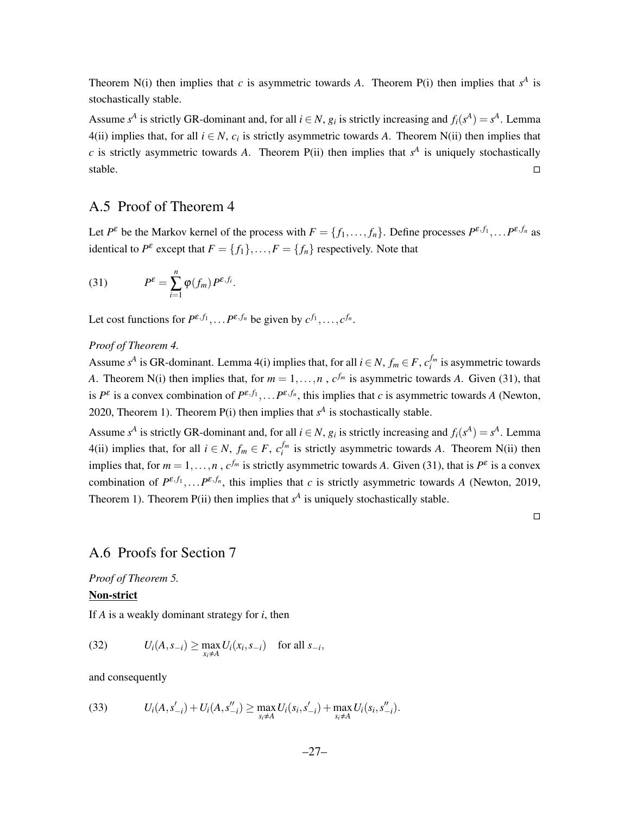Theorem N(i) then implies that *c* is asymmetric towards *A*. Theorem P(i) then implies that  $s<sup>A</sup>$  is stochastically stable.

Assume  $s^A$  is strictly GR-dominant and, for all  $i \in N$ ,  $g_i$  is strictly increasing and  $f_i(s^A) = s^A$ . Lemma 4(ii) implies that, for all  $i \in N$ ,  $c_i$  is strictly asymmetric towards *A*. Theorem N(ii) then implies that *c* is strictly asymmetric towards *A*. Theorem  $P(ii)$  then implies that  $s<sup>A</sup>$  is uniquely stochastically stable.  $\square$ 

### A.5 Proof of Theorem 4

Let  $P^{\varepsilon}$  be the Markov kernel of the process with  $F = \{f_1, \ldots, f_n\}$ . Define processes  $P^{\varepsilon, f_1}, \ldots P^{\varepsilon, f_n}$  as identical to  $P^{\varepsilon}$  except that  $F = \{f_1\}, \ldots, F = \{f_n\}$  respectively. Note that

(31) 
$$
P^{\varepsilon} = \sum_{i=1}^{n} \varphi(f_m) P^{\varepsilon, f_i}.
$$

Let cost functions for  $P^{\varepsilon, f_1}, \ldots P^{\varepsilon, f_n}$  be given by  $c^{f_1}, \ldots, c^{f_n}$ .

#### *Proof of Theorem 4.*

Assume  $s^A$  is GR-dominant. Lemma 4(i) implies that, for all  $i \in N$ ,  $f_m \in F$ ,  $c_i^{f_m}$  is asymmetric towards *A*. Theorem N(i) then implies that, for  $m = 1, \ldots, n$ ,  $c^{f_m}$  is asymmetric towards *A*. Given (31), that is  $P^{\varepsilon}$  is a convex combination of  $P^{\varepsilon,f_1}, \ldots P^{\varepsilon,f_n}$ , this implies that *c* is asymmetric towards *A* (Newton, 2020, Theorem 1). Theorem  $P(i)$  then implies that  $s<sup>A</sup>$  is stochastically stable.

Assume  $s^A$  is strictly GR-dominant and, for all  $i \in N$ ,  $g_i$  is strictly increasing and  $f_i(s^A) = s^A$ . Lemma 4(ii) implies that, for all  $i \in N$ ,  $f_m \in F$ ,  $c_i^{f_m}$  is strictly asymmetric towards *A*. Theorem N(ii) then implies that, for  $m = 1, ..., n$ ,  $c^{f_m}$  is strictly asymmetric towards A. Given (31), that is  $P^{\varepsilon}$  is a convex combination of  $P^{\varepsilon, f_1}, \ldots P^{\varepsilon, f_n}$ , this implies that *c* is strictly asymmetric towards *A* (Newton, 2019, Theorem 1). Theorem  $P(i)$  then implies that  $s<sup>A</sup>$  is uniquely stochastically stable.

 $\Box$ 

### A.6 Proofs for Section 7

*Proof of Theorem 5.*

#### Non-strict

If *A* is a weakly dominant strategy for *i*, then

(32) 
$$
U_i(A, s_{-i}) \ge \max_{x_i \ne A} U_i(x_i, s_{-i}) \text{ for all } s_{-i},
$$

and consequently

(33) 
$$
U_i(A, s'_{-i}) + U_i(A, s''_{-i}) \ge \max_{s_i \neq A} U_i(s_i, s'_{-i}) + \max_{s_i \neq A} U_i(s_i, s''_{-i}).
$$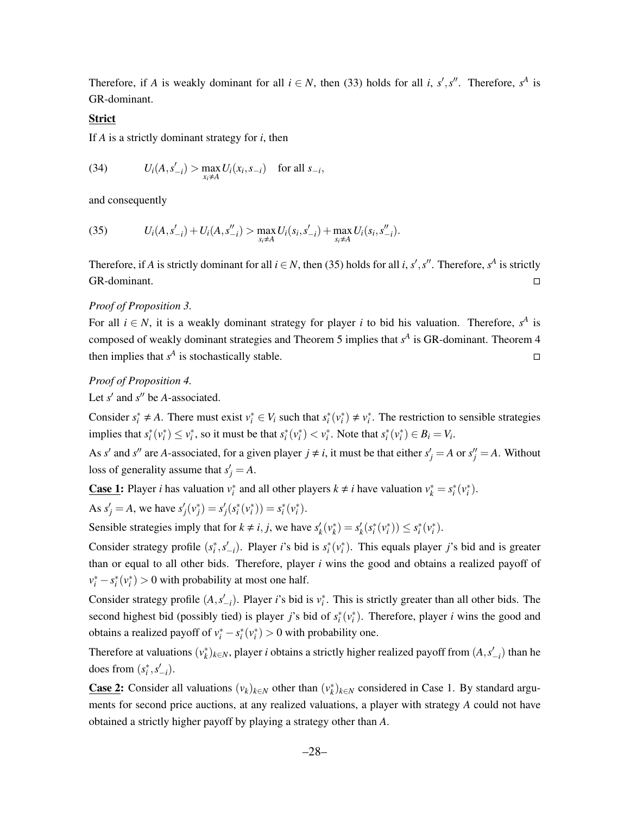Therefore, if *A* is weakly dominant for all  $i \in N$ , then (33) holds for all *i*, *s'*, *s''*. Therefore,  $s^A$  is GR-dominant.

#### Strict

If *A* is a strictly dominant strategy for *i*, then

(34) 
$$
U_i(A, s'_{-i}) > \max_{x_i \neq A} U_i(x_i, s_{-i}) \text{ for all } s_{-i},
$$

and consequently

(35) 
$$
U_i(A, s'_{-i}) + U_i(A, s''_{-i}) > \max_{s_i \neq A} U_i(s_i, s'_{-i}) + \max_{s_i \neq A} U_i(s_i, s''_{-i}).
$$

Therefore, if *A* is strictly dominant for all  $i \in N$ , then (35) holds for all *i*, *s'*, *s''*. Therefore, *s*<sup>*A*</sup> is strictly GR-dominant.

#### *Proof of Proposition 3.*

For all  $i \in N$ , it is a weakly dominant strategy for player *i* to bid his valuation. Therefore,  $s^A$  is composed of weakly dominant strategies and Theorem 5 implies that  $s<sup>A</sup>$  is GR-dominant. Theorem 4 then implies that  $s^A$  is stochastically stable.

#### *Proof of Proposition 4.*

Let  $s'$  and  $s''$  be *A*-associated.

Consider  $s_i^* \neq A$ . There must exist  $v_i^* \in V_i$  such that  $s_i^*(v_i^*) \neq v_i^*$ . The restriction to sensible strategies implies that  $s_i^*(v_i^*) \leq v_i^*$ , so it must be that  $s_i^*(v_i^*) < v_i^*$ . Note that  $s_i^*(v_i^*) \in B_i = V_i$ .

As *s'* and *s''* are *A*-associated, for a given player  $j \neq i$ , it must be that either  $s'_j = A$  or  $s''_j = A$ . Without loss of generality assume that  $s'_j = A$ .

**<u>Case 1</u>:** Player *i* has valuation  $v_i^*$  and all other players  $k \neq i$  have valuation  $v_k^* = s_i^*(v_i^*)$ .

As  $s'_{j} = A$ , we have  $s'_{j}(v_{j}^{*}) = s'_{j}(s_{i}^{*}(v_{i}^{*})) = s_{i}^{*}(v_{i}^{*})$ .

Sensible strategies imply that for  $k \neq i, j$ , we have  $s'_k(v_k^*) = s'_k(s_i^*(v_i^*)) \leq s_i^*(v_i^*)$ .

Consider strategy profile  $(s_i^*, s_{-i}').$  Player *i*'s bid is  $s_i^*(v_i^*)$ . This equals player *j*'s bid and is greater than or equal to all other bids. Therefore, player *i* wins the good and obtains a realized payoff of  $v_i^* - s_i^*(v_i^*) > 0$  with probability at most one half.

Consider strategy profile  $(A, s'_{-i})$ . Player *i*'s bid is  $v_i^*$ . This is strictly greater than all other bids. The second highest bid (possibly tied) is player *j*'s bid of  $s_i^*(v_i^*)$ . Therefore, player *i* wins the good and obtains a realized payoff of  $v_i^* - s_i^*(v_i^*) > 0$  with probability one.

Therefore at valuations  $(v_k^*)_{k \in N}$ , player *i* obtains a strictly higher realized payoff from  $(A, s'_{-i})$  than he does from  $(s_i^*, s'_{-i})$ .

**Case 2:** Consider all valuations  $(v_k)_{k \in N}$  other than  $(v_k^*)_{k \in N}$  considered in Case 1. By standard arguments for second price auctions, at any realized valuations, a player with strategy *A* could not have obtained a strictly higher payoff by playing a strategy other than *A*.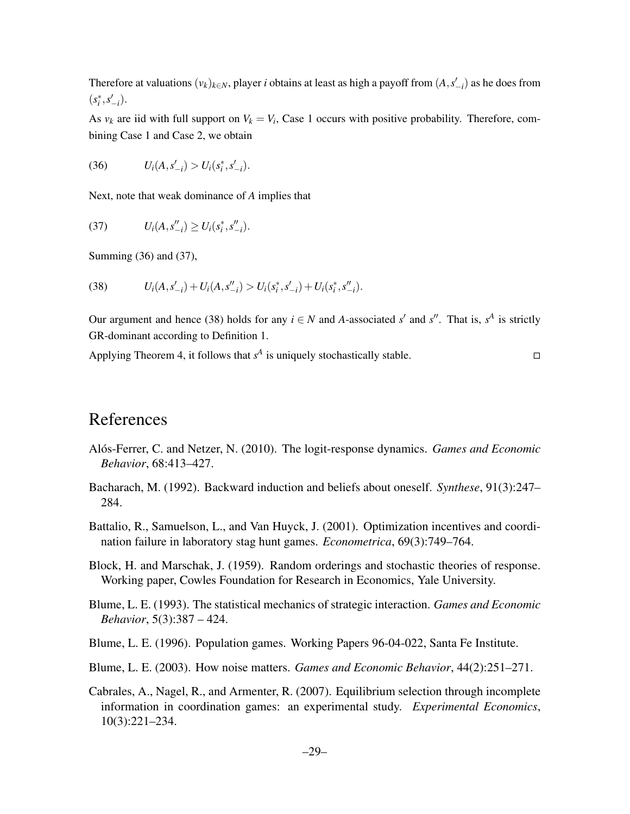Therefore at valuations  $(v_k)_{k \in N}$ , player *i* obtains at least as high a payoff from  $(A, s'_{-i})$  as he does from  $(s_i^*, s'_{-i}).$ 

As  $v_k$  are iid with full support on  $V_k = V_i$ , Case 1 occurs with positive probability. Therefore, combining Case 1 and Case 2, we obtain

(36) 
$$
U_i(A, s'_{-i}) > U_i(s_i^*, s'_{-i}).
$$

Next, note that weak dominance of *A* implies that

(37) 
$$
U_i(A, s_{-i}'') \geq U_i(s_i^*, s_{-i}').
$$

Summing (36) and (37),

(38) 
$$
U_i(A, s'_{-i}) + U_i(A, s''_{-i}) > U_i(s_i^*, s'_{-i}) + U_i(s_i^*, s''_{-i}).
$$

Our argument and hence (38) holds for any  $i \in N$  and *A*-associated *s'* and *s''*. That is,  $s^A$  is strictly GR-dominant according to Definition 1.

Applying Theorem 4, it follows that  $s^A$  is uniquely stochastically stable.

# References

- Alós-Ferrer, C. and Netzer, N. (2010). The logit-response dynamics. *Games and Economic Behavior*, 68:413–427.
- Bacharach, M. (1992). Backward induction and beliefs about oneself. *Synthese*, 91(3):247– 284.
- Battalio, R., Samuelson, L., and Van Huyck, J. (2001). Optimization incentives and coordination failure in laboratory stag hunt games. *Econometrica*, 69(3):749–764.
- Block, H. and Marschak, J. (1959). Random orderings and stochastic theories of response. Working paper, Cowles Foundation for Research in Economics, Yale University.
- Blume, L. E. (1993). The statistical mechanics of strategic interaction. *Games and Economic Behavior*, 5(3):387 – 424.
- Blume, L. E. (1996). Population games. Working Papers 96-04-022, Santa Fe Institute.
- Blume, L. E. (2003). How noise matters. *Games and Economic Behavior*, 44(2):251–271.
- Cabrales, A., Nagel, R., and Armenter, R. (2007). Equilibrium selection through incomplete information in coordination games: an experimental study. *Experimental Economics*, 10(3):221–234.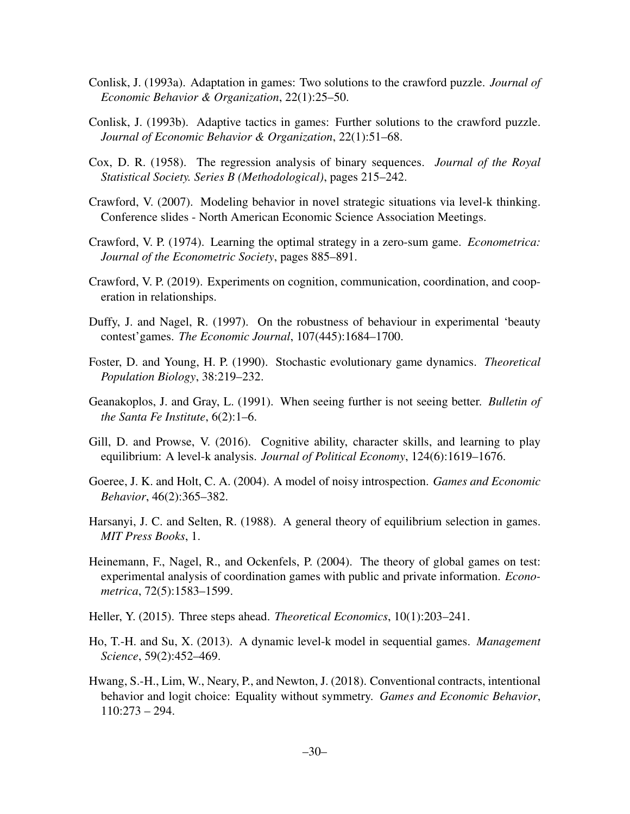- Conlisk, J. (1993a). Adaptation in games: Two solutions to the crawford puzzle. *Journal of Economic Behavior & Organization*, 22(1):25–50.
- Conlisk, J. (1993b). Adaptive tactics in games: Further solutions to the crawford puzzle. *Journal of Economic Behavior & Organization*, 22(1):51–68.
- Cox, D. R. (1958). The regression analysis of binary sequences. *Journal of the Royal Statistical Society. Series B (Methodological)*, pages 215–242.
- Crawford, V. (2007). Modeling behavior in novel strategic situations via level-k thinking. Conference slides - North American Economic Science Association Meetings.
- Crawford, V. P. (1974). Learning the optimal strategy in a zero-sum game. *Econometrica: Journal of the Econometric Society*, pages 885–891.
- Crawford, V. P. (2019). Experiments on cognition, communication, coordination, and cooperation in relationships.
- Duffy, J. and Nagel, R. (1997). On the robustness of behaviour in experimental 'beauty contest'games. *The Economic Journal*, 107(445):1684–1700.
- Foster, D. and Young, H. P. (1990). Stochastic evolutionary game dynamics. *Theoretical Population Biology*, 38:219–232.
- Geanakoplos, J. and Gray, L. (1991). When seeing further is not seeing better. *Bulletin of the Santa Fe Institute*, 6(2):1–6.
- Gill, D. and Prowse, V. (2016). Cognitive ability, character skills, and learning to play equilibrium: A level-k analysis. *Journal of Political Economy*, 124(6):1619–1676.
- Goeree, J. K. and Holt, C. A. (2004). A model of noisy introspection. *Games and Economic Behavior*, 46(2):365–382.
- Harsanyi, J. C. and Selten, R. (1988). A general theory of equilibrium selection in games. *MIT Press Books*, 1.
- Heinemann, F., Nagel, R., and Ockenfels, P. (2004). The theory of global games on test: experimental analysis of coordination games with public and private information. *Econometrica*, 72(5):1583–1599.
- Heller, Y. (2015). Three steps ahead. *Theoretical Economics*, 10(1):203–241.
- Ho, T.-H. and Su, X. (2013). A dynamic level-k model in sequential games. *Management Science*, 59(2):452–469.
- Hwang, S.-H., Lim, W., Neary, P., and Newton, J. (2018). Conventional contracts, intentional behavior and logit choice: Equality without symmetry. *Games and Economic Behavior*, 110:273 – 294.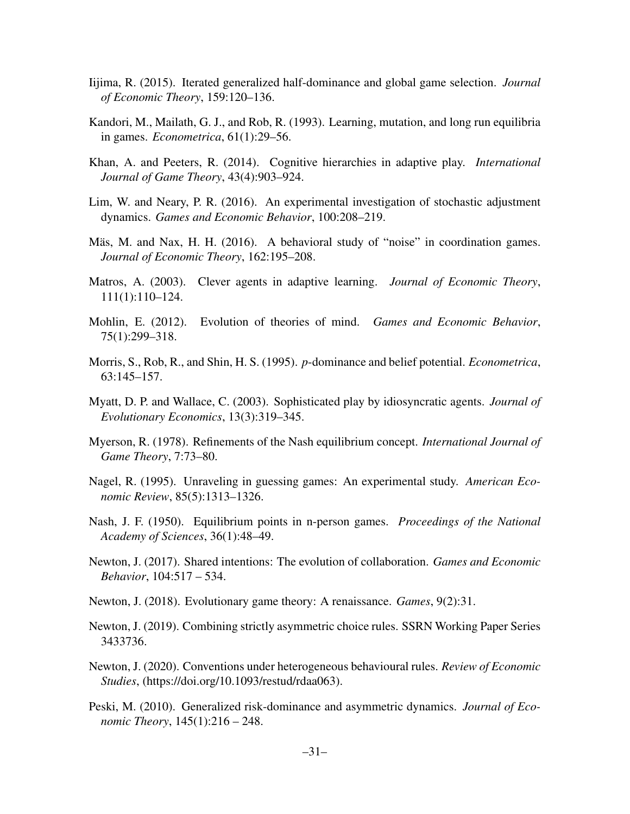- Iijima, R. (2015). Iterated generalized half-dominance and global game selection. *Journal of Economic Theory*, 159:120–136.
- Kandori, M., Mailath, G. J., and Rob, R. (1993). Learning, mutation, and long run equilibria in games. *Econometrica*, 61(1):29–56.
- Khan, A. and Peeters, R. (2014). Cognitive hierarchies in adaptive play. *International Journal of Game Theory*, 43(4):903–924.
- Lim, W. and Neary, P. R. (2016). An experimental investigation of stochastic adjustment dynamics. *Games and Economic Behavior*, 100:208–219.
- Mäs, M. and Nax, H. H. (2016). A behavioral study of "noise" in coordination games. *Journal of Economic Theory*, 162:195–208.
- Matros, A. (2003). Clever agents in adaptive learning. *Journal of Economic Theory*, 111(1):110–124.
- Mohlin, E. (2012). Evolution of theories of mind. *Games and Economic Behavior*, 75(1):299–318.
- Morris, S., Rob, R., and Shin, H. S. (1995). *p*-dominance and belief potential. *Econometrica*, 63:145–157.
- Myatt, D. P. and Wallace, C. (2003). Sophisticated play by idiosyncratic agents. *Journal of Evolutionary Economics*, 13(3):319–345.
- Myerson, R. (1978). Refinements of the Nash equilibrium concept. *International Journal of Game Theory*, 7:73–80.
- Nagel, R. (1995). Unraveling in guessing games: An experimental study. *American Economic Review*, 85(5):1313–1326.
- Nash, J. F. (1950). Equilibrium points in n-person games. *Proceedings of the National Academy of Sciences*, 36(1):48–49.
- Newton, J. (2017). Shared intentions: The evolution of collaboration. *Games and Economic Behavior*, 104:517 – 534.
- Newton, J. (2018). Evolutionary game theory: A renaissance. *Games*, 9(2):31.
- Newton, J. (2019). Combining strictly asymmetric choice rules. SSRN Working Paper Series 3433736.
- Newton, J. (2020). Conventions under heterogeneous behavioural rules. *Review of Economic Studies*, (https://doi.org/10.1093/restud/rdaa063).
- Peski, M. (2010). Generalized risk-dominance and asymmetric dynamics. *Journal of Economic Theory*, 145(1):216 – 248.